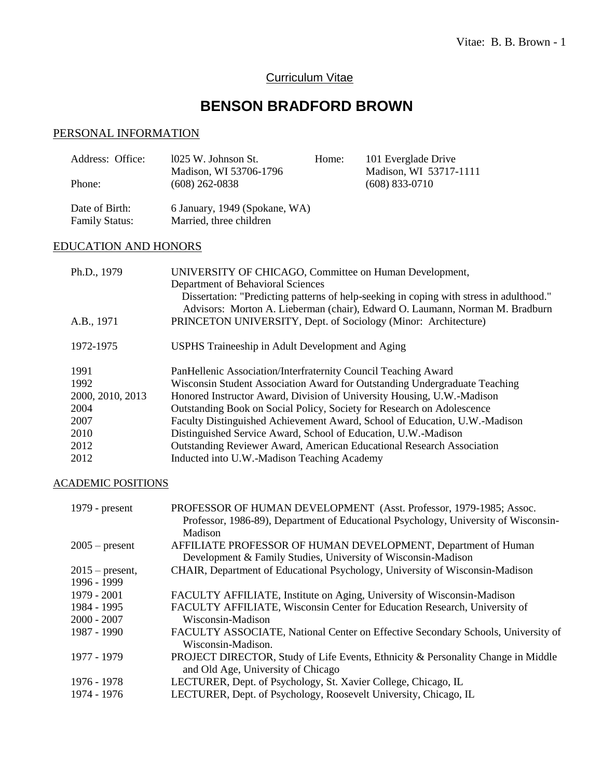# Curriculum Vitae

# **BENSON BRADFORD BROWN**

# PERSONAL INFORMATION

| Address: Office:            | 1025 W. Johnson St.                                                                                                                                                                                                                                                                                                                | Home: | 101 Everglade Drive    |
|-----------------------------|------------------------------------------------------------------------------------------------------------------------------------------------------------------------------------------------------------------------------------------------------------------------------------------------------------------------------------|-------|------------------------|
|                             | Madison, WI 53706-1796                                                                                                                                                                                                                                                                                                             |       | Madison, WI 53717-1111 |
| Phone:                      | $(608)$ 262-0838                                                                                                                                                                                                                                                                                                                   |       | $(608)$ 833-0710       |
|                             |                                                                                                                                                                                                                                                                                                                                    |       |                        |
| Date of Birth:              | 6 January, 1949 (Spokane, WA)                                                                                                                                                                                                                                                                                                      |       |                        |
| <b>Family Status:</b>       | Married, three children                                                                                                                                                                                                                                                                                                            |       |                        |
|                             |                                                                                                                                                                                                                                                                                                                                    |       |                        |
| <b>EDUCATION AND HONORS</b> |                                                                                                                                                                                                                                                                                                                                    |       |                        |
|                             |                                                                                                                                                                                                                                                                                                                                    |       |                        |
| Ph.D., 1979                 | UNIVERSITY OF CHICAGO, Committee on Human Development,                                                                                                                                                                                                                                                                             |       |                        |
|                             | $\mathbf{D}$ $\mathbf{D}$ $\mathbf{F}$ $\mathbf{F}$ $\mathbf{D}$ $\mathbf{F}$ $\mathbf{F}$ $\mathbf{F}$ $\mathbf{F}$ $\mathbf{F}$ $\mathbf{F}$ $\mathbf{F}$ $\mathbf{F}$ $\mathbf{F}$ $\mathbf{F}$ $\mathbf{F}$ $\mathbf{F}$ $\mathbf{F}$ $\mathbf{F}$ $\mathbf{F}$ $\mathbf{F}$ $\mathbf{F}$ $\mathbf{F}$ $\mathbf{F}$ $\mathbf{$ |       |                        |
|                             |                                                                                                                                                                                                                                                                                                                                    |       |                        |

|                  | Department of Behavioral Sciences<br>Dissertation: "Predicting patterns of help-seeking in coping with stress in adulthood." |
|------------------|------------------------------------------------------------------------------------------------------------------------------|
|                  | Advisors: Morton A. Lieberman (chair), Edward O. Laumann, Norman M. Bradburn                                                 |
| A.B., 1971       | PRINCETON UNIVERSITY, Dept. of Sociology (Minor: Architecture)                                                               |
| 1972-1975        | USPHS Traineeship in Adult Development and Aging                                                                             |
| 1991             | PanHellenic Association/Interfraternity Council Teaching Award                                                               |
| 1992             | Wisconsin Student Association Award for Outstanding Undergraduate Teaching                                                   |
| 2000, 2010, 2013 | Honored Instructor Award, Division of University Housing, U.W.-Madison                                                       |
| 2004             | Outstanding Book on Social Policy, Society for Research on Adolescence                                                       |
| 2007             | Faculty Distinguished Achievement Award, School of Education, U.W.-Madison                                                   |
| 2010             | Distinguished Service Award, School of Education, U.W.-Madison                                                               |
| 2012             | Outstanding Reviewer Award, American Educational Research Association                                                        |
| 2012             | Inducted into U.W.-Madison Teaching Academy                                                                                  |

# ACADEMIC POSITIONS

| $1979$ - present  | PROFESSOR OF HUMAN DEVELOPMENT (Asst. Professor, 1979-1985; Assoc.<br>Professor, 1986-89), Department of Educational Psychology, University of Wisconsin-<br>Madison |
|-------------------|----------------------------------------------------------------------------------------------------------------------------------------------------------------------|
| $2005$ – present  | AFFILIATE PROFESSOR OF HUMAN DEVELOPMENT, Department of Human<br>Development & Family Studies, University of Wisconsin-Madison                                       |
| $2015$ – present, | CHAIR, Department of Educational Psychology, University of Wisconsin-Madison                                                                                         |
| 1996 - 1999       |                                                                                                                                                                      |
| 1979 - 2001       | FACULTY AFFILIATE, Institute on Aging, University of Wisconsin-Madison                                                                                               |
| 1984 - 1995       | FACULTY AFFILIATE, Wisconsin Center for Education Research, University of                                                                                            |
| $2000 - 2007$     | Wisconsin-Madison                                                                                                                                                    |
| 1987 - 1990       | FACULTY ASSOCIATE, National Center on Effective Secondary Schools, University of<br>Wisconsin-Madison.                                                               |
| 1977 - 1979       | PROJECT DIRECTOR, Study of Life Events, Ethnicity & Personality Change in Middle<br>and Old Age, University of Chicago                                               |
| 1976 - 1978       | LECTURER, Dept. of Psychology, St. Xavier College, Chicago, IL                                                                                                       |
| 1974 - 1976       | LECTURER, Dept. of Psychology, Roosevelt University, Chicago, IL                                                                                                     |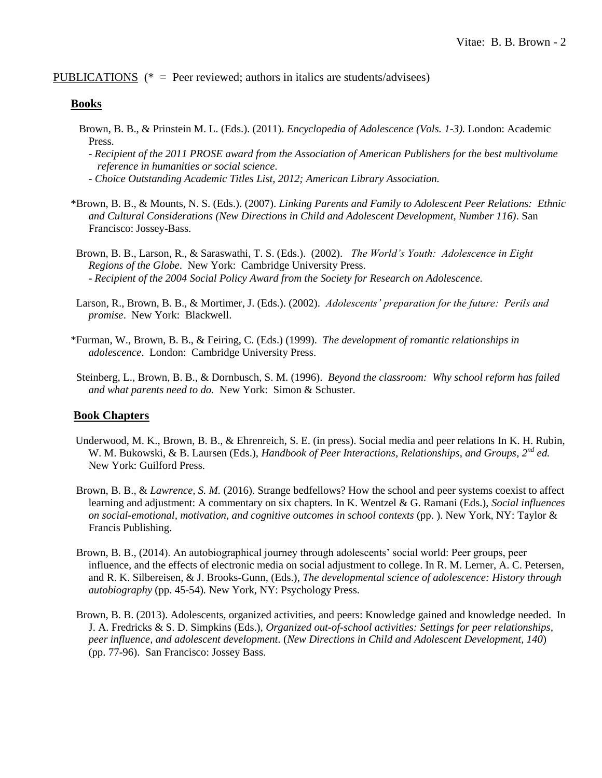#### PUBLICATIONS ( $* =$  Peer reviewed; authors in italics are students/advisees)

#### **Books**

- Brown, B. B., & Prinstein M. L. (Eds.). (2011). *Encyclopedia of Adolescence (Vols. 1-3).* London: Academic Press.
	- *Recipient of the 2011 PROSE award from the Association of American Publishers for the best multivolume reference in humanities or social science.*
	- *- Choice Outstanding Academic Titles List, 2012; American Library Association.*
- \*Brown, B. B., & Mounts, N. S. (Eds.). (2007). *Linking Parents and Family to Adolescent Peer Relations: Ethnic and Cultural Considerations (New Directions in Child and Adolescent Development, Number 116)*. San Francisco: Jossey-Bass.
- Brown, B. B., Larson, R., & Saraswathi, T. S. (Eds.). (2002). *The World's Youth: Adolescence in Eight Regions of the Globe*. New York: Cambridge University Press. - *Recipient of the 2004 Social Policy Award from the Society for Research on Adolescence.*
- Larson, R., Brown, B. B., & Mortimer, J. (Eds.). (2002). *Adolescents' preparation for the future: Perils and promise*. New York: Blackwell.
- \*Furman, W., Brown, B. B., & Feiring, C. (Eds.) (1999). *The development of romantic relationships in adolescence*. London: Cambridge University Press.
- Steinberg, L., Brown, B. B., & Dornbusch, S. M. (1996). *Beyond the classroom: Why school reform has failed and what parents need to do.* New York: Simon & Schuster.

### **Book Chapters**

- Underwood, M. K., Brown, B. B., & Ehrenreich, S. E. (in press). Social media and peer relations In K. H. Rubin, W. M. Bukowski, & B. Laursen (Eds.), *Handbook of Peer Interactions, Relationships, and Groups, 2nd ed.* New York: Guilford Press.
- Brown, B. B., & *Lawrence, S. M.* (2016). Strange bedfellows? How the school and peer systems coexist to affect learning and adjustment: A commentary on six chapters. In K. Wentzel & G. Ramani (Eds.), *Social influences on social-emotional, motivation, and cognitive outcomes in school contexts* (pp. ). New York, NY: Taylor & Francis Publishing.
- Brown, B. B., (2014). An autobiographical journey through adolescents' social world: Peer groups, peer influence, and the effects of electronic media on social adjustment to college. In R. M. Lerner, A. C. Petersen, and R. K. Silbereisen, & J. Brooks-Gunn, (Eds.), *The developmental science of adolescence: History through autobiography* (pp. 45-54)*.* New York, NY: Psychology Press.
- Brown, B. B. (2013). Adolescents, organized activities, and peers: Knowledge gained and knowledge needed. In J. A. Fredricks & S. D. Simpkins (Eds.), *Organized out-of-school activities: Settings for peer relationships, peer influence, and adolescent development.* (*New Directions in Child and Adolescent Development, 140*) (pp. 77-96). San Francisco: Jossey Bass.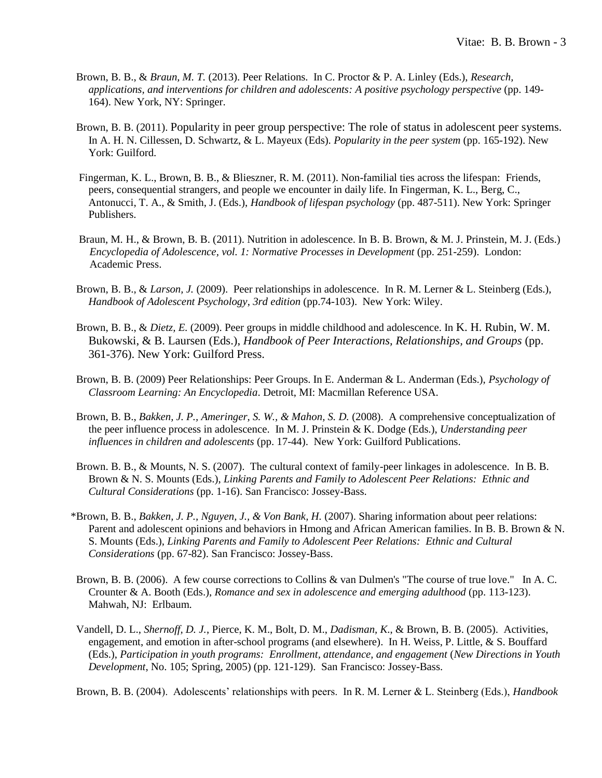- Brown, B. B., & *Braun, M. T.* (2013). Peer Relations. In C. Proctor & P. A. Linley (Eds.), *Research, applications, and interventions for children and adolescents: A positive psychology perspective* (pp. 149- 164). New York, NY: Springer.
- Brown, B. B. (2011). Popularity in peer group perspective: The role of status in adolescent peer systems. In A. H. N. Cillessen, D. Schwartz, & L. Mayeux (Eds). *Popularity in the peer system* (pp. 165-192). New York: Guilford.
- Fingerman, K. L., Brown, B. B., & Blieszner, R. M. (2011). Non-familial ties across the lifespan: Friends, peers, consequential strangers, and people we encounter in daily life. In Fingerman, K. L., Berg, C., Antonucci, T. A., & Smith, J. (Eds.), *Handbook of lifespan psychology* (pp. 487-511). New York: Springer Publishers.
- Braun, M. H., & Brown, B. B. (2011). Nutrition in adolescence. In B. B. Brown, & M. J. Prinstein, M. J. (Eds.) *Encyclopedia of Adolescence, vol. 1: Normative Processes in Development* (pp. 251-259). London: Academic Press.
- Brown, B. B., & *Larson, J.* (2009). Peer relationships in adolescence. In R. M. Lerner & L. Steinberg (Eds.), *Handbook of Adolescent Psychology*, *3rd edition* (pp.74-103). New York: Wiley.
- Brown, B. B., & *Dietz, E.* (2009). Peer groups in middle childhood and adolescence. In K. H. Rubin, W. M. Bukowski, & B. Laursen (Eds.), *Handbook of Peer Interactions, Relationships, and Groups* (pp. 361-376). New York: Guilford Press.
- Brown, B. B. (2009) Peer Relationships: Peer Groups. In E. Anderman & L. Anderman (Eds.), *Psychology of Classroom Learning: An Encyclopedia*. Detroit, MI: Macmillan Reference USA.
- Brown, B. B., *Bakken, J. P., Ameringer, S. W., & Mahon, S. D.* (2008). A comprehensive conceptualization of the peer influence process in adolescence. In M. J. Prinstein & K. Dodge (Eds.), *Understanding peer influences in children and adolescents* (pp. 17-44). New York: Guilford Publications.
- Brown. B. B., & Mounts, N. S. (2007). The cultural context of family-peer linkages in adolescence. In B. B. Brown & N. S. Mounts (Eds.), *Linking Parents and Family to Adolescent Peer Relations: Ethnic and Cultural Considerations* (pp. 1-16). San Francisco: Jossey-Bass.
- \*Brown, B. B., *Bakken, J. P., Nguyen, J., & Von Bank, H.* (2007). Sharing information about peer relations: Parent and adolescent opinions and behaviors in Hmong and African American families. In B. B. Brown & N. S. Mounts (Eds.), *Linking Parents and Family to Adolescent Peer Relations: Ethnic and Cultural Considerations* (pp. 67-82). San Francisco: Jossey-Bass.
- Brown, B. B. (2006). A few course corrections to Collins & van Dulmen's "The course of true love." In A. C. Crounter & A. Booth (Eds.), *Romance and sex in adolescence and emerging adulthood* (pp. 113-123). Mahwah, NJ: Erlbaum.
- Vandell, D. L., *Shernoff, D. J.*, Pierce, K. M., Bolt, D. M., *Dadisman, K*., & Brown, B. B. (2005). Activities, engagement, and emotion in after-school programs (and elsewhere). In H. Weiss, P. Little, & S. Bouffard (Eds.), *Participation in youth programs: Enrollment, attendance, and engagement* (*New Directions in Youth Development*, No. 105; Spring, 2005) (pp. 121-129). San Francisco: Jossey-Bass.

Brown, B. B. (2004). Adolescents' relationships with peers. In R. M. Lerner & L. Steinberg (Eds.), *Handbook*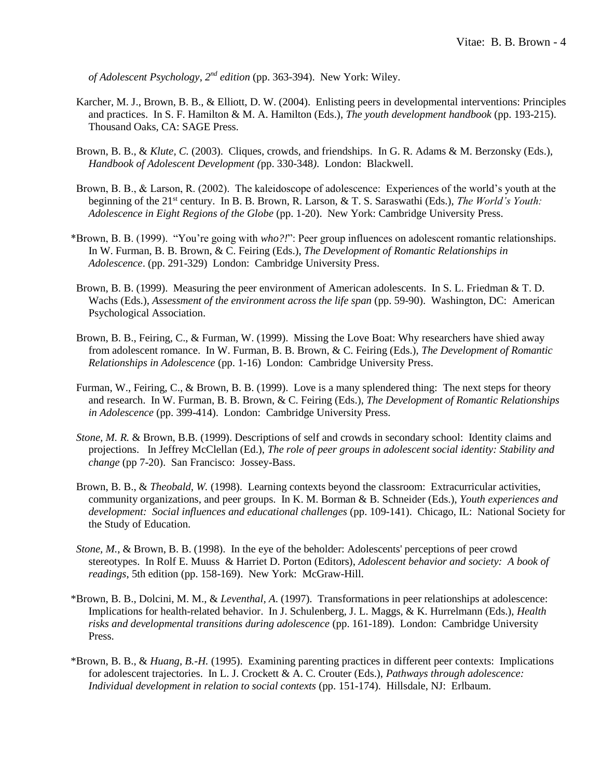*of Adolescent Psychology, 2<sup>nd</sup> edition* (pp. 363-394). New York: Wiley.

- Karcher, M. J., Brown, B. B., & Elliott, D. W. (2004). Enlisting peers in developmental interventions: Principles and practices. In S. F. Hamilton & M. A. Hamilton (Eds.), *The youth development handbook* (pp. 193-215). Thousand Oaks, CA: SAGE Press.
- Brown, B. B., & *Klute, C.* (2003). Cliques, crowds, and friendships. In G. R. Adams & M. Berzonsky (Eds.), *Handbook of Adolescent Development (*pp. 330-348*)*. London: Blackwell.
- Brown, B. B., & Larson, R. (2002). The kaleidoscope of adolescence: Experiences of the world's youth at the beginning of the 21st century. In B. B. Brown, R. Larson, & T. S. Saraswathi (Eds.), *The World's Youth: Adolescence in Eight Regions of the Globe* (pp. 1-20). New York: Cambridge University Press.
- \*Brown, B. B. (1999). "You're going with *who?!*": Peer group influences on adolescent romantic relationships. In W. Furman, B. B. Brown, & C. Feiring (Eds.), *The Development of Romantic Relationships in Adolescence*. (pp. 291-329) London: Cambridge University Press.
- Brown, B. B. (1999). Measuring the peer environment of American adolescents. In S. L. Friedman & T. D. Wachs (Eds.), *Assessment of the environment across the life span* (pp. 59-90). Washington, DC: American Psychological Association.
- Brown, B. B., Feiring, C., & Furman, W. (1999). Missing the Love Boat: Why researchers have shied away from adolescent romance. In W. Furman, B. B. Brown, & C. Feiring (Eds.), *The Development of Romantic Relationships in Adolescence* (pp. 1-16) London: Cambridge University Press.
- Furman, W., Feiring, C., & Brown, B. B. (1999). Love is a many splendered thing: The next steps for theory and research. In W. Furman, B. B. Brown, & C. Feiring (Eds.), *The Development of Romantic Relationships in Adolescence* (pp. 399-414). London: Cambridge University Press.
- *Stone, M. R.* & Brown, B.B. (1999). Descriptions of self and crowds in secondary school: Identity claims and projections. In Jeffrey McClellan (Ed.), *The role of peer groups in adolescent social identity: Stability and change* (pp 7-20). San Francisco: Jossey-Bass.
- Brown, B. B., & *Theobald, W.* (1998). Learning contexts beyond the classroom: Extracurricular activities, community organizations, and peer groups. In K. M. Borman & B. Schneider (Eds.), *Youth experiences and development: Social influences and educational challenges* (pp. 109-141). Chicago, IL: National Society for the Study of Education.
- *Stone, M.*, & Brown, B. B. (1998). In the eye of the beholder: Adolescents' perceptions of peer crowd stereotypes. In Rolf E. Muuss & Harriet D. Porton (Editors), *Adolescent behavior and society: A book of readings*, 5th edition (pp. 158-169). New York: McGraw-Hill.
- \*Brown, B. B., Dolcini, M. M., & *Leventhal, A*. (1997). Transformations in peer relationships at adolescence: Implications for health-related behavior. In J. Schulenberg, J. L. Maggs, & K. Hurrelmann (Eds.), *Health risks and developmental transitions during adolescence* (pp. 161-189). London: Cambridge University Press.
- \*Brown, B. B., & *Huang, B.-H.* (1995). Examining parenting practices in different peer contexts: Implications for adolescent trajectories. In L. J. Crockett & A. C. Crouter (Eds.), *Pathways through adolescence: Individual development in relation to social contexts* (pp. 151-174). Hillsdale, NJ: Erlbaum.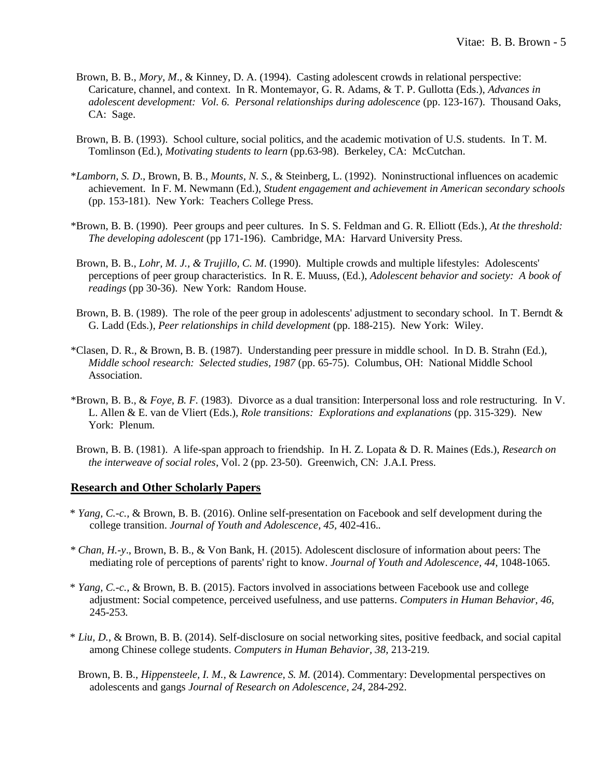- Brown, B. B., *Mory, M*., & Kinney, D. A. (1994). Casting adolescent crowds in relational perspective: Caricature, channel, and context. In R. Montemayor, G. R. Adams, & T. P. Gullotta (Eds.), *Advances in adolescent development: Vol. 6. Personal relationships during adolescence* (pp. 123-167). Thousand Oaks, CA: Sage.
- Brown, B. B. (1993). School culture, social politics, and the academic motivation of U.S. students. In T. M. Tomlinson (Ed.), *Motivating students to learn* (pp.63-98). Berkeley, CA: McCutchan.
- \**Lamborn, S. D*., Brown, B. B., *Mounts, N. S.,* & Steinberg, L. (1992). Noninstructional influences on academic achievement. In F. M. Newmann (Ed.), *Student engagement and achievement in American secondary schools* (pp. 153-181). New York: Teachers College Press.
- \*Brown, B. B. (1990). Peer groups and peer cultures. In S. S. Feldman and G. R. Elliott (Eds.), *At the threshold: The developing adolescent* (pp 171-196). Cambridge, MA: Harvard University Press.
- Brown, B. B., *Lohr, M. J., & Trujillo, C. M*. (1990). Multiple crowds and multiple lifestyles: Adolescents' perceptions of peer group characteristics. In R. E. Muuss, (Ed.), *Adolescent behavior and society: A book of readings* (pp 30-36). New York: Random House.
- Brown, B. B. (1989). The role of the peer group in adolescents' adjustment to secondary school. In T. Berndt & G. Ladd (Eds.), *Peer relationships in child development* (pp. 188-215). New York: Wiley.
- \*Clasen, D. R., & Brown, B. B. (1987). Understanding peer pressure in middle school. In D. B. Strahn (Ed.), *Middle school research: Selected studies, 1987* (pp. 65-75). Columbus, OH: National Middle School Association.
- \*Brown, B. B., & *Foye, B. F.* (1983). Divorce as a dual transition: Interpersonal loss and role restructuring. In V. L. Allen & E. van de Vliert (Eds.), *Role transitions: Explorations and explanations* (pp. 315-329). New York: Plenum.
- Brown, B. B. (1981). A life-span approach to friendship. In H. Z. Lopata & D. R. Maines (Eds.), *Research on the interweave of social roles*, Vol. 2 (pp. 23-50). Greenwich, CN: J.A.I. Press.

#### **Research and Other Scholarly Papers**

- \* *Yang, C.-c.,* & Brown, B. B. (2016). Online self-presentation on Facebook and self development during the college transition. *Journal of Youth and Adolescence, 45,* 402-416.*.*
- *\* Chan, H.-y*., Brown, B. B., & Von Bank, H. (2015). Adolescent disclosure of information about peers: The mediating role of perceptions of parents' right to know. *Journal of Youth and Adolescence, 44,* 1048-1065.
- \* *Yang, C.-c.,* & Brown, B. B. (2015). Factors involved in associations between Facebook use and college adjustment: Social competence, perceived usefulness, and use patterns. *Computers in Human Behavior, 46,* 245-253*.*
- \* *Liu, D.*, & Brown, B. B. (2014). Self-disclosure on social networking sites, positive feedback, and social capital among Chinese college students. *Computers in Human Behavior, 38,* 213-219*.*
	- Brown, B. B., *Hippensteele, I. M.,* & *Lawrence, S. M.* (2014). Commentary: Developmental perspectives on adolescents and gangs *Journal of Research on Adolescence, 24*, 284-292.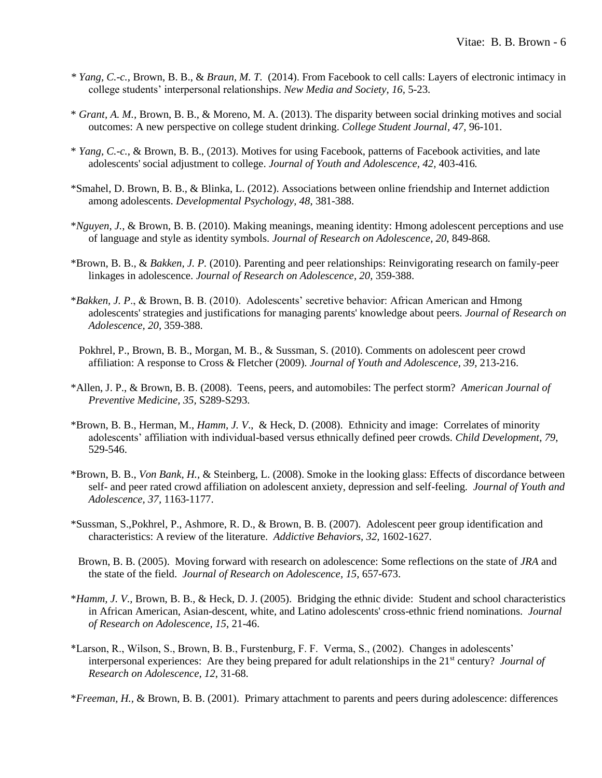- *\* Yang, C.-c.,* Brown, B. B., & *Braun, M. T.* (2014). From Facebook to cell calls: Layers of electronic intimacy in college students' interpersonal relationships. *New Media and Society, 16,* 5-23.
- \* *Grant, A. M.,* Brown, B. B., & Moreno, M. A. (2013). The disparity between social drinking motives and social outcomes: A new perspective on college student drinking. *College Student Journal, 47,* 96-101.
- \* *Yang, C.-c.*, & Brown, B. B., (2013). Motives for using Facebook, patterns of Facebook activities, and late adolescents' social adjustment to college. *Journal of Youth and Adolescence, 42,* 403-416*.*
- \*Smahel, D. Brown, B. B., & Blinka, L. (2012). Associations between online friendship and Internet addiction among adolescents. *Developmental Psychology, 48*, 381-388.
- \**Nguyen, J.,* & Brown, B. B. (2010). Making meanings, meaning identity: Hmong adolescent perceptions and use of language and style as identity symbols. *Journal of Research on Adolescence, 20*, 849-868*.*
- \*Brown, B. B., & *Bakken, J. P.* (2010). Parenting and peer relationships: Reinvigorating research on family-peer linkages in adolescence. *Journal of Research on Adolescence, 20,* 359-388.
- \**Bakken, J. P*., & Brown, B. B. (2010). Adolescents' secretive behavior: African American and Hmong adolescents' strategies and justifications for managing parents' knowledge about peers. *Journal of Research on Adolescence, 20,* 359-388.
- Pokhrel, P., Brown, B. B., Morgan, M. B., & Sussman, S. (2010). Comments on adolescent peer crowd affiliation: A response to Cross & Fletcher (2009). *Journal of Youth and Adolescence, 39,* 213-216.
- \*Allen, J. P., & Brown, B. B. (2008). Teens, peers, and automobiles: The perfect storm? *American Journal of Preventive Medicine, 35,* S289-S293.
- \*Brown, B. B., Herman, M., *Hamm, J. V*., & Heck, D. (2008). Ethnicity and image: Correlates of minority adolescents' affiliation with individual-based versus ethnically defined peer crowds. *Child Development*, *79*, 529-546.
- \*Brown, B. B., *Von Bank, H.,* & Steinberg, L. (2008). Smoke in the looking glass: Effects of discordance between self- and peer rated crowd affiliation on adolescent anxiety, depression and self-feeling. *Journal of Youth and Adolescence, 37,* 1163-1177.
- \*Sussman, S.,Pokhrel, P., Ashmore, R. D., & Brown, B. B. (2007). Adolescent peer group identification and characteristics: A review of the literature. *Addictive Behaviors, 32,* 1602-1627*.*
- Brown, B. B. (2005). Moving forward with research on adolescence: Some reflections on the state of *JRA* and the state of the field. *Journal of Research on Adolescence, 15,* 657-673.
- \**Hamm, J. V.,* Brown, B. B., & Heck, D. J. (2005). Bridging the ethnic divide: Student and school characteristics in African American, Asian-descent, white, and Latino adolescents' cross-ethnic friend nominations. *Journal of Research on Adolescence, 15*, 21-46.
- \*Larson, R., Wilson, S., Brown, B. B., Furstenburg, F. F. Verma, S., (2002). Changes in adolescents' interpersonal experiences: Are they being prepared for adult relationships in the 21st century? *Journal of Research on Adolescence, 12*, 31-68.

\**Freeman, H.,* & Brown, B. B. (2001). Primary attachment to parents and peers during adolescence: differences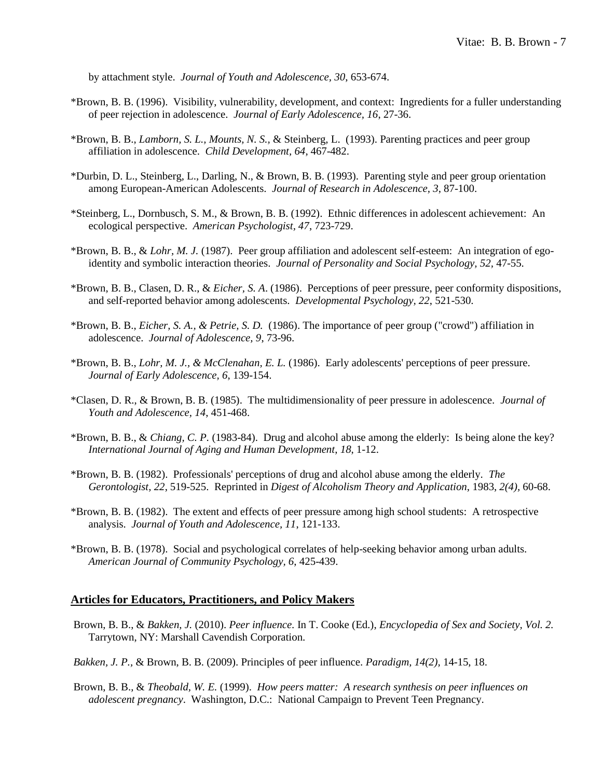by attachment style. *Journal of Youth and Adolescence, 30*, 653-674.

- \*Brown, B. B. (1996). Visibility, vulnerability, development, and context: Ingredients for a fuller understanding of peer rejection in adolescence. *Journal of Early Adolescence, 16*, 27-36.
- \*Brown, B. B., *Lamborn, S. L., Mounts, N. S.,* & Steinberg, L. (1993). Parenting practices and peer group affiliation in adolescence. *Child Development, 64*, 467-482.
- \*Durbin, D. L., Steinberg, L., Darling, N., & Brown, B. B. (1993). Parenting style and peer group orientation among European-American Adolescents. *Journal of Research in Adolescence, 3*, 87-100.
- \*Steinberg, L., Dornbusch, S. M., & Brown, B. B. (1992). Ethnic differences in adolescent achievement: An ecological perspective. *American Psychologist, 47*, 723-729.
- \*Brown, B. B., & *Lohr, M. J.* (1987). Peer group affiliation and adolescent self-esteem: An integration of egoidentity and symbolic interaction theories. *Journal of Personality and Social Psychology, 52,* 47-55.
- \*Brown, B. B., Clasen, D. R., & *Eicher, S. A*. (1986). Perceptions of peer pressure, peer conformity dispositions, and self-reported behavior among adolescents. *Developmental Psychology, 22*, 521-530.
- \*Brown, B. B., *Eicher, S. A., & Petrie, S. D.* (1986). The importance of peer group ("crowd") affiliation in adolescence. *Journal of Adolescence, 9*, 73-96.
- \*Brown, B. B., *Lohr, M. J., & McClenahan, E. L.* (1986). Early adolescents' perceptions of peer pressure. *Journal of Early Adolescence, 6*, 139-154.
- \*Clasen, D. R., & Brown, B. B. (1985). The multidimensionality of peer pressure in adolescence. *Journal of Youth and Adolescence, 14*, 451-468.
- \*Brown, B. B., & *Chiang, C. P.* (1983-84). Drug and alcohol abuse among the elderly: Is being alone the key? *International Journal of Aging and Human Development*, *18*, 1-12.
- \*Brown, B. B. (1982). Professionals' perceptions of drug and alcohol abuse among the elderly. *The Gerontologist, 22*, 519-525. Reprinted in *Digest of Alcoholism Theory and Application*, 1983, *2(4),* 60-68.
- \*Brown, B. B. (1982). The extent and effects of peer pressure among high school students: A retrospective analysis. *Journal of Youth and Adolescence, 11*, 121-133.
- \*Brown, B. B. (1978). Social and psychological correlates of help-seeking behavior among urban adults. *American Journal of Community Psychology, 6*, 425-439.

# **Articles for Educators, Practitioners, and Policy Makers**

- Brown, B. B., & *Bakken, J.* (2010). *Peer influence.* In T. Cooke (Ed.), *Encyclopedia of Sex and Society, Vol. 2.* Tarrytown, NY: Marshall Cavendish Corporation.
- *Bakken, J. P.,* & Brown, B. B. (2009). Principles of peer influence. *Paradigm, 14(2),* 14-15, 18.
- Brown, B. B., & *Theobald, W. E.* (1999). *How peers matter: A research synthesis on peer influences on adolescent pregnancy*. Washington, D.C.: National Campaign to Prevent Teen Pregnancy.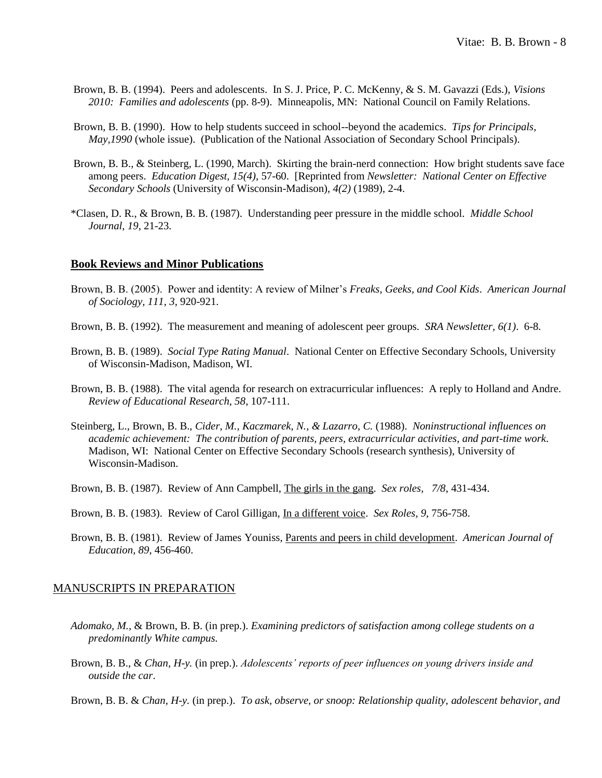- Brown, B. B. (1994). Peers and adolescents. In S. J. Price, P. C. McKenny, & S. M. Gavazzi (Eds.), *Visions 2010: Families and adolescents* (pp. 8-9). Minneapolis, MN: National Council on Family Relations.
- Brown, B. B. (1990). How to help students succeed in school--beyond the academics. *Tips for Principals, May,1990* (whole issue). (Publication of the National Association of Secondary School Principals).
- Brown, B. B., & Steinberg, L. (1990, March). Skirting the brain-nerd connection: How bright students save face among peers. *Education Digest, 15(4)*, 57-60. [Reprinted from *Newsletter: National Center on Effective Secondary Schools* (University of Wisconsin-Madison), *4(2)* (1989), 2-4.
- \*Clasen, D. R., & Brown, B. B. (1987). Understanding peer pressure in the middle school. *Middle School Journal, 19*, 21-23.

#### **Book Reviews and Minor Publications**

- Brown, B. B. (2005). Power and identity: A review of Milner's *Freaks, Geeks, and Cool Kids*. *American Journal of Sociology, 111*, *3*, 920-921.
- Brown, B. B. (1992). The measurement and meaning of adolescent peer groups. *SRA Newsletter, 6(1)*. 6-8.
- Brown, B. B. (1989). *Social Type Rating Manual*. National Center on Effective Secondary Schools, University of Wisconsin-Madison, Madison, WI.
- Brown, B. B. (1988). The vital agenda for research on extracurricular influences: A reply to Holland and Andre. *Review of Educational Research, 58*, 107-111.
- Steinberg, L., Brown, B. B., *Cider, M., Kaczmarek, N., & Lazarro, C.* (1988). *Noninstructional influences on academic achievement: The contribution of parents, peers, extracurricular activities, and part-time work*. Madison, WI: National Center on Effective Secondary Schools (research synthesis), University of Wisconsin-Madison.
- Brown, B. B. (1987). Review of Ann Campbell, The girls in the gang. *Sex roles, 7/8*, 431-434.
- Brown, B. B. (1983). Review of Carol Gilligan, In a different voice. *Sex Roles, 9*, 756-758.
- Brown, B. B. (1981). Review of James Youniss, Parents and peers in child development. *American Journal of Education, 89*, 456-460.

#### MANUSCRIPTS IN PREPARATION

- *Adomako, M.,* & Brown, B. B. (in prep.). *Examining predictors of satisfaction among college students on a predominantly White campus.*
- Brown, B. B., & *Chan, H-y.* (in prep.). *Adolescents' reports of peer influences on young drivers inside and outside the car*.
- Brown, B. B. & *Chan, H-y.* (in prep.). *To ask, observe, or snoop: Relationship quality, adolescent behavior, and*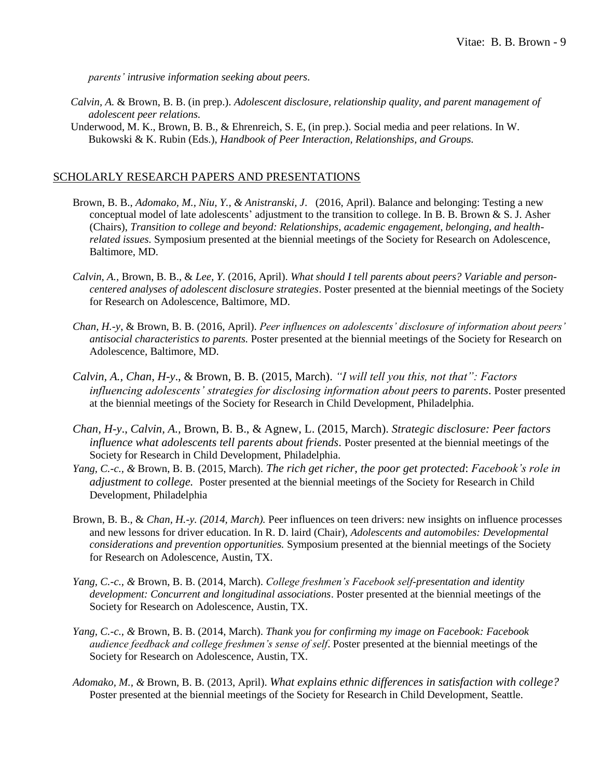*parents' intrusive information seeking about peers.*

- *Calvin, A.* & Brown, B. B. (in prep.). *Adolescent disclosure, relationship quality, and parent management of adolescent peer relations.*
- Underwood, M. K., Brown, B. B., & Ehrenreich, S. E, (in prep.). Social media and peer relations. In W. Bukowski & K. Rubin (Eds.), *Handbook of Peer Interaction, Relationships, and Groups.*

#### SCHOLARLY RESEARCH PAPERS AND PRESENTATIONS

- Brown, B. B., *Adomako, M., Niu, Y., & Anistranski, J*. (2016, April). Balance and belonging: Testing a new conceptual model of late adolescents' adjustment to the transition to college. In B. B. Brown & S. J. Asher (Chairs), *Transition to college and beyond: Relationships, academic engagement, belonging, and healthrelated issues.* Symposium presented at the biennial meetings of the Society for Research on Adolescence, Baltimore, MD.
- *Calvin, A.,* Brown, B. B., & *Lee, Y.* (2016, April). *What should I tell parents about peers? Variable and personcentered analyses of adolescent disclosure strategies*. Poster presented at the biennial meetings of the Society for Research on Adolescence, Baltimore, MD.
- *Chan, H.-y*, & Brown, B. B. (2016, April). *Peer influences on adolescents' disclosure of information about peers' antisocial characteristics to parents.* Poster presented at the biennial meetings of the Society for Research on Adolescence, Baltimore, MD.
- *Calvin, A., Chan, H-y*., & Brown, B. B. (2015, March). *"I will tell you this, not that": Factors influencing adolescents' strategies for disclosing information about peers to parents*. Poster presented at the biennial meetings of the Society for Research in Child Development, Philadelphia.
- *Chan, H-y*., *Calvin, A.,* Brown, B. B., & Agnew, L. (2015, March). *Strategic disclosure: Peer factors influence what adolescents tell parents about friends*. Poster presented at the biennial meetings of the Society for Research in Child Development, Philadelphia.
- *Yang, C.-c., &* Brown, B. B. (2015, March). *The rich get richer, the poor get protected*: *Facebook's role in adjustment to college.* Poster presented at the biennial meetings of the Society for Research in Child Development, Philadelphia
- Brown, B. B., & *Chan, H.-y. (2014, March).* Peer influences on teen drivers: new insights on influence processes and new lessons for driver education. In R. D. laird (Chair), *Adolescents and automobiles: Developmental considerations and prevention opportunities.* Symposium presented at the biennial meetings of the Society for Research on Adolescence, Austin, TX.
- *Yang, C.-c., &* Brown, B. B. (2014, March). *College freshmen's Facebook self-presentation and identity development: Concurrent and longitudinal associations*. Poster presented at the biennial meetings of the Society for Research on Adolescence, Austin, TX.
- *Yang, C.-c., &* Brown, B. B. (2014, March). *Thank you for confirming my image on Facebook: Facebook audience feedback and college freshmen's sense of self*. Poster presented at the biennial meetings of the Society for Research on Adolescence, Austin, TX.
- *Adomako, M., &* Brown, B. B. (2013, April). *What explains ethnic differences in satisfaction with college?* Poster presented at the biennial meetings of the Society for Research in Child Development, Seattle.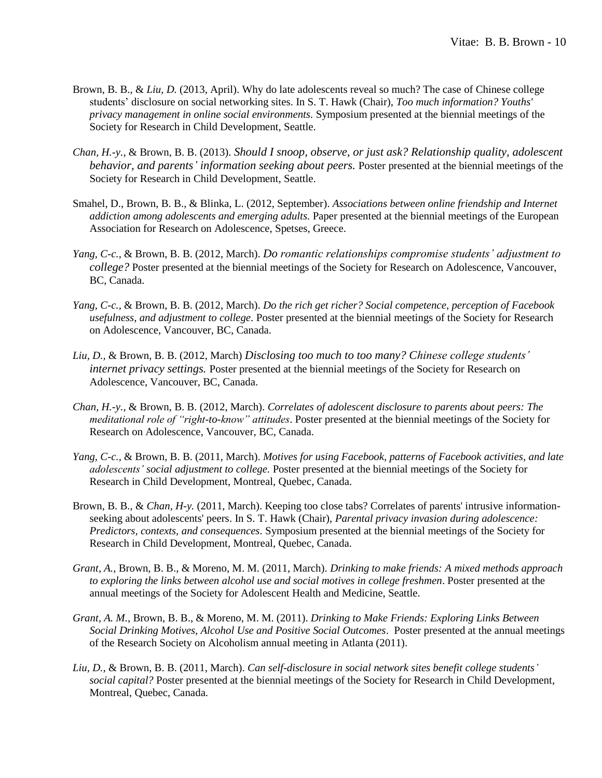- Brown, B. B., & *Liu, D.* (2013, April). Why do late adolescents reveal so much? The case of Chinese college students' disclosure on social networking sites. In S. T. Hawk (Chair), *Too much information? Youths' privacy management in online social environments.* Symposium presented at the biennial meetings of the Society for Research in Child Development, Seattle.
- *Chan, H.-y.*, & Brown, B. B. (2013). *Should I snoop, observe, or just ask? Relationship quality, adolescent behavior, and parents' information seeking about peers.* Poster presented at the biennial meetings of the Society for Research in Child Development, Seattle.
- Smahel, D., Brown, B. B., & Blinka, L. (2012, September). *Associations between online friendship and Internet addiction among adolescents and emerging adults.* Paper presented at the biennial meetings of the European Association for Research on Adolescence, Spetses, Greece.
- *Yang, C-c.,* & Brown, B. B. (2012, March). *Do romantic relationships compromise students' adjustment to college?* Poster presented at the biennial meetings of the Society for Research on Adolescence, Vancouver, BC, Canada.
- *Yang, C-c.,* & Brown, B. B. (2012, March). *Do the rich get richer? Social competence, perception of Facebook usefulness, and adjustment to college.* Poster presented at the biennial meetings of the Society for Research on Adolescence, Vancouver, BC, Canada.
- *Liu, D.,* & Brown, B. B. (2012, March) *Disclosing too much to too many? Chinese college students' internet privacy settings.* Poster presented at the biennial meetings of the Society for Research on Adolescence, Vancouver, BC, Canada.
- *Chan, H.-y.,* & Brown, B. B. (2012, March). *Correlates of adolescent disclosure to parents about peers: The meditational role of "right-to-know" attitudes*. Poster presented at the biennial meetings of the Society for Research on Adolescence, Vancouver, BC, Canada.
- *Yang, C-c.,* & Brown, B. B. (2011, March). *Motives for using Facebook, patterns of Facebook activities, and late adolescents' social adjustment to college.* Poster presented at the biennial meetings of the Society for Research in Child Development, Montreal, Quebec, Canada.
- Brown, B. B., & *Chan, H-y.* (2011, March). Keeping too close tabs? Correlates of parents' intrusive informationseeking about adolescents' peers. In S. T. Hawk (Chair), *Parental privacy invasion during adolescence: Predictors, contexts, and consequences.* Symposium presented at the biennial meetings of the Society for Research in Child Development, Montreal, Quebec, Canada.
- *Grant, A.,* Brown, B. B., & Moreno, M. M. (2011, March). *Drinking to make friends: A mixed methods approach to exploring the links between alcohol use and social motives in college freshmen*. Poster presented at the annual meetings of the Society for Adolescent Health and Medicine, Seattle.
- *Grant, A. M.,* Brown, B. B., & Moreno, M. M. (2011). *Drinking to Make Friends: Exploring Links Between Social Drinking Motives, Alcohol Use and Positive Social Outcomes*. Poster presented at the annual meetings of the Research Society on Alcoholism annual meeting in Atlanta (2011).
- *Liu, D.,* & Brown, B. B. (2011, March). *Can self-disclosure in social network sites benefit college students' social capital?* Poster presented at the biennial meetings of the Society for Research in Child Development, Montreal, Quebec, Canada.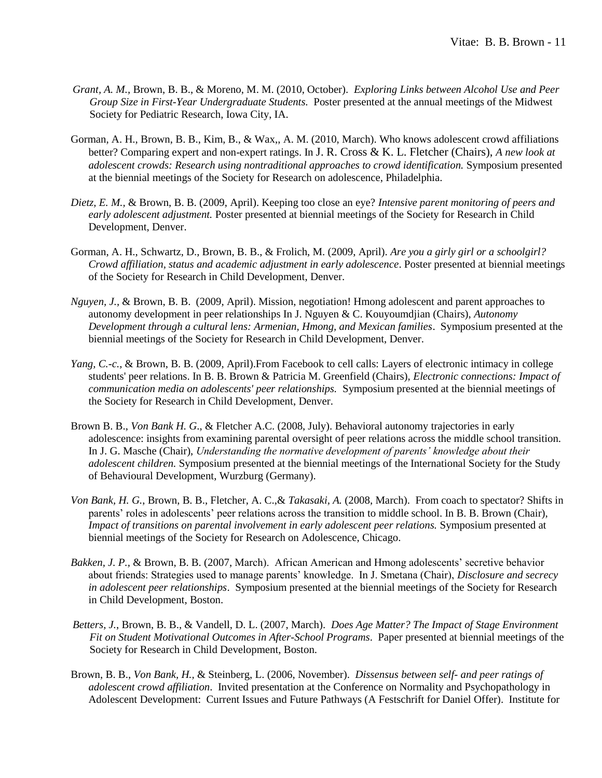- *Grant, A. M.,* Brown, B. B., & Moreno, M. M. (2010, October). *Exploring Links between Alcohol Use and Peer Group Size in First-Year Undergraduate Students.* Poster presented at the annual meetings of the Midwest Society for Pediatric Research, Iowa City, IA.
- Gorman, A. H., Brown, B. B., Kim, B., & Wax,, A. M. (2010, March). Who knows adolescent crowd affiliations better? Comparing expert and non-expert ratings. In J. R. Cross & K. L. Fletcher (Chairs), *A new look at adolescent crowds: Research using nontraditional approaches to crowd identification.* Symposium presented at the biennial meetings of the Society for Research on adolescence, Philadelphia.
- *Dietz, E. M.,* & Brown, B. B. (2009, April). Keeping too close an eye? *Intensive parent monitoring of peers and early adolescent adjustment.* Poster presented at biennial meetings of the Society for Research in Child Development, Denver.
- Gorman, A. H., Schwartz, D., Brown, B. B., & Frolich, M. (2009, April). *Are you a girly girl or a schoolgirl? Crowd affiliation, status and academic adjustment in early adolescence*. Poster presented at biennial meetings of the Society for Research in Child Development, Denver.
- *Nguyen, J.,* & Brown, B. B. (2009, April). Mission, negotiation! Hmong adolescent and parent approaches to autonomy development in peer relationships In J. Nguyen & C. Kouyoumdjian (Chairs), *Autonomy Development through a cultural lens: Armenian, Hmong, and Mexican families*. Symposium presented at the biennial meetings of the Society for Research in Child Development, Denver.
- *Yang, C.-c., & Brown, B. B. (2009, April).From Facebook to cell calls: Layers of electronic intimacy in college* students' peer relations. In B. B. Brown & Patricia M. Greenfield (Chairs), *Electronic connections: Impact of communication media on adolescents' peer relationships.* Symposium presented at the biennial meetings of the Society for Research in Child Development, Denver.
- Brown B. B., *Von Bank H. G*., & Fletcher A.C. (2008, July). Behavioral autonomy trajectories in early adolescence: insights from examining parental oversight of peer relations across the middle school transition. In J. G. Masche (Chair), *Understanding the normative development of parents' knowledge about their adolescent children.* Symposium presented at the biennial meetings of the International Society for the Study of Behavioural Development, Wurzburg (Germany).
- *Von Bank, H. G.*, Brown, B. B., Fletcher, A. C.,& *Takasaki, A.* (2008, March). From coach to spectator? Shifts in parents' roles in adolescents' peer relations across the transition to middle school. In B. B. Brown (Chair), *Impact of transitions on parental involvement in early adolescent peer relations.* Symposium presented at biennial meetings of the Society for Research on Adolescence, Chicago.
- *Bakken, J. P.,* & Brown, B. B. (2007, March). African American and Hmong adolescents' secretive behavior about friends: Strategies used to manage parents' knowledge. In J. Smetana (Chair), *Disclosure and secrecy in adolescent peer relationships*. Symposium presented at the biennial meetings of the Society for Research in Child Development, Boston.
- *Betters, J.*, Brown, B. B., & Vandell, D. L. (2007, March). *Does Age Matter? The Impact of Stage Environment Fit on Student Motivational Outcomes in After-School Programs*. Paper presented at biennial meetings of the Society for Research in Child Development, Boston.
- Brown, B. B., *Von Bank, H.,* & Steinberg, L. (2006, November). *Dissensus between self- and peer ratings of adolescent crowd affiliation*. Invited presentation at the Conference on Normality and Psychopathology in Adolescent Development: Current Issues and Future Pathways (A Festschrift for Daniel Offer). Institute for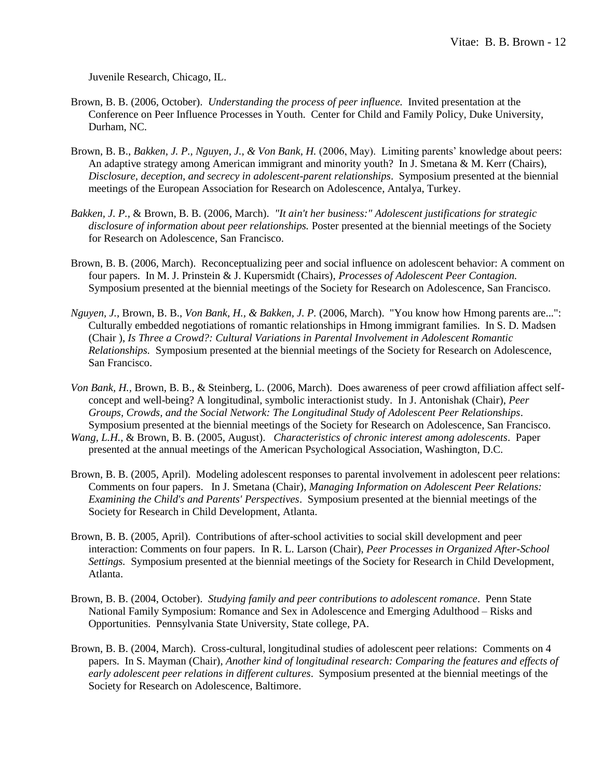Juvenile Research, Chicago, IL.

- Brown, B. B. (2006, October). *Understanding the process of peer influence.* Invited presentation at the Conference on Peer Influence Processes in Youth. Center for Child and Family Policy, Duke University, Durham, NC.
- Brown, B. B., *Bakken, J. P., Nguyen, J., & Von Bank, H.* (2006, May). Limiting parents' knowledge about peers: An adaptive strategy among American immigrant and minority youth? In J. Smetana & M. Kerr (Chairs), *Disclosure, deception, and secrecy in adolescent-parent relationships*. Symposium presented at the biennial meetings of the European Association for Research on Adolescence, Antalya, Turkey.
- *Bakken, J. P.,* & Brown, B. B. (2006, March). *"It ain't her business:" Adolescent justifications for strategic disclosure of information about peer relationships.* Poster presented at the biennial meetings of the Society for Research on Adolescence, San Francisco.
- Brown, B. B. (2006, March). Reconceptualizing peer and social influence on adolescent behavior: A comment on four papers. In M. J. Prinstein & J. Kupersmidt (Chairs), *Processes of Adolescent Peer Contagion.*  Symposium presented at the biennial meetings of the Society for Research on Adolescence, San Francisco.
- *Nguyen, J.,* Brown, B. B., *Von Bank, H., & Bakken, J. P.* (2006, March). "You know how Hmong parents are...": Culturally embedded negotiations of romantic relationships in Hmong immigrant families. In S. D. Madsen (Chair ), *Is Three a Crowd?: Cultural Variations in Parental Involvement in Adolescent Romantic Relationships.* Symposium presented at the biennial meetings of the Society for Research on Adolescence, San Francisco.
- *Von Bank, H.,* Brown, B. B., & Steinberg, L. (2006, March). Does awareness of peer crowd affiliation affect selfconcept and well-being? A longitudinal, symbolic interactionist study. In J. Antonishak (Chair), *Peer Groups, Crowds, and the Social Network: The Longitudinal Study of Adolescent Peer Relationships*. Symposium presented at the biennial meetings of the Society for Research on Adolescence, San Francisco.
- *Wang, L.H.,* & Brown, B. B. (2005, August). *Characteristics of chronic interest among adolescents*. Paper presented at the annual meetings of the American Psychological Association, Washington, D.C.
- Brown, B. B. (2005, April). Modeling adolescent responses to parental involvement in adolescent peer relations: Comments on four papers. In J. Smetana (Chair), *Managing Information on Adolescent Peer Relations: Examining the Child's and Parents' Perspectives*. Symposium presented at the biennial meetings of the Society for Research in Child Development, Atlanta.
- Brown, B. B. (2005, April). Contributions of after-school activities to social skill development and peer interaction: Comments on four papers. In R. L. Larson (Chair), *Peer Processes in Organized After-School Settings.* Symposium presented at the biennial meetings of the Society for Research in Child Development, Atlanta.
- Brown, B. B. (2004, October). *Studying family and peer contributions to adolescent romance*. Penn State National Family Symposium: Romance and Sex in Adolescence and Emerging Adulthood – Risks and Opportunities. Pennsylvania State University, State college, PA.
- Brown, B. B. (2004, March). Cross-cultural, longitudinal studies of adolescent peer relations: Comments on 4 papers. In S. Mayman (Chair), *Another kind of longitudinal research: Comparing the features and effects of early adolescent peer relations in different cultures*. Symposium presented at the biennial meetings of the Society for Research on Adolescence, Baltimore.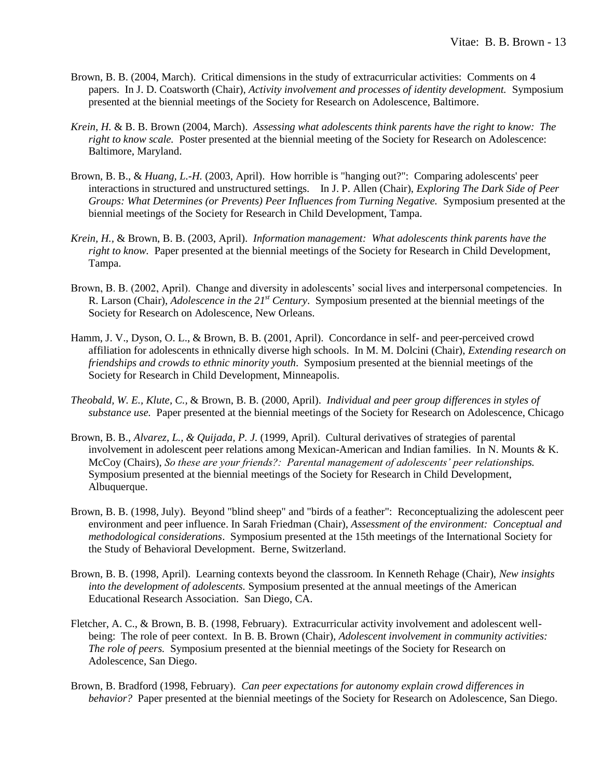- Brown, B. B. (2004, March). Critical dimensions in the study of extracurricular activities: Comments on 4 papers. In J. D. Coatsworth (Chair), *Activity involvement and processes of identity development.* Symposium presented at the biennial meetings of the Society for Research on Adolescence, Baltimore.
- *Krein, H.* & B. B. Brown (2004, March). *Assessing what adolescents think parents have the right to know: The right to know scale.* Poster presented at the biennial meeting of the Society for Research on Adolescence: Baltimore, Maryland.
- Brown, B. B., & *Huang, L.-H.* (2003, April). How horrible is "hanging out?": Comparing adolescents' peer interactions in structured and unstructured settings. In J. P. Allen (Chair), *Exploring The Dark Side of Peer Groups: What Determines (or Prevents) Peer Influences from Turning Negative.* Symposium presented at the biennial meetings of the Society for Research in Child Development, Tampa.
- *Krein, H.,* & Brown, B. B. (2003, April). *Information management: What adolescents think parents have the right to know.* Paper presented at the biennial meetings of the Society for Research in Child Development, Tampa.
- Brown, B. B. (2002, April). Change and diversity in adolescents' social lives and interpersonal competencies. In R. Larson (Chair), *Adolescence in the 21st Century*. Symposium presented at the biennial meetings of the Society for Research on Adolescence, New Orleans.
- Hamm, J. V., Dyson, O. L., & Brown, B. B. (2001, April). Concordance in self- and peer-perceived crowd affiliation for adolescents in ethnically diverse high schools. In M. M. Dolcini (Chair), *Extending research on friendships and crowds to ethnic minority youth*. Symposium presented at the biennial meetings of the Society for Research in Child Development, Minneapolis.
- *Theobald, W. E., Klute, C.,* & Brown, B. B. (2000, April). *Individual and peer group differences in styles of substance use.* Paper presented at the biennial meetings of the Society for Research on Adolescence, Chicago
- Brown, B. B., *Alvarez, L., & Quijada, P. J.* (1999, April). Cultural derivatives of strategies of parental involvement in adolescent peer relations among Mexican-American and Indian families. In N. Mounts & K. McCoy (Chairs), *So these are your friends?: Parental management of adolescents' peer relationships.* Symposium presented at the biennial meetings of the Society for Research in Child Development, Albuquerque.
- Brown, B. B. (1998, July). Beyond "blind sheep" and "birds of a feather": Reconceptualizing the adolescent peer environment and peer influence. In Sarah Friedman (Chair), *Assessment of the environment: Conceptual and methodological considerations*. Symposium presented at the 15th meetings of the International Society for the Study of Behavioral Development. Berne, Switzerland.
- Brown, B. B. (1998, April). Learning contexts beyond the classroom. In Kenneth Rehage (Chair), *New insights into the development of adolescents.* Symposium presented at the annual meetings of the American Educational Research Association. San Diego, CA.
- Fletcher, A. C., & Brown, B. B. (1998, February). Extracurricular activity involvement and adolescent wellbeing: The role of peer context. In B. B. Brown (Chair), *Adolescent involvement in community activities: The role of peers.* Symposium presented at the biennial meetings of the Society for Research on Adolescence, San Diego.
- Brown, B. Bradford (1998, February). *Can peer expectations for autonomy explain crowd differences in behavior?* Paper presented at the biennial meetings of the Society for Research on Adolescence, San Diego.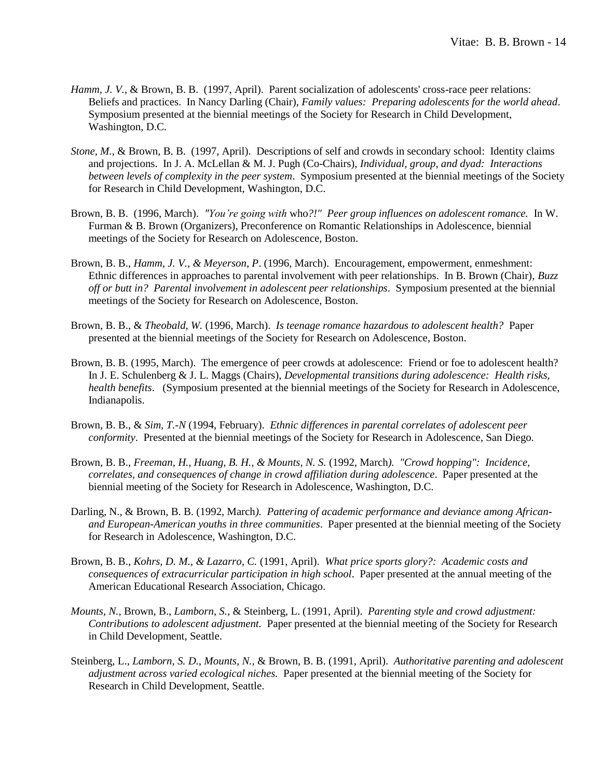- *Hamm, J. V., & Brown, B. B. (1997, April). Parent socialization of adolescents' cross-race peer relations:* Beliefs and practices. In Nancy Darling (Chair), *Family values: Preparing adolescents for the world ahead*. Symposium presented at the biennial meetings of the Society for Research in Child Development, Washington, D.C.
- *Stone, M.,* & Brown, B. B. (1997, April). Descriptions of self and crowds in secondary school: Identity claims and projections. In J. A. McLellan & M. J. Pugh (Co-Chairs), *Individual, group, and dyad: Interactions between levels of complexity in the peer system*. Symposium presented at the biennial meetings of the Society for Research in Child Development, Washington, D.C.
- Brown, B. B. (1996, March). *"You're going with* who*?!" Peer group influences on adolescent romance.* In W. Furman & B. Brown (Organizers), Preconference on Romantic Relationships in Adolescence, biennial meetings of the Society for Research on Adolescence, Boston.
- Brown, B. B., *Hamm, J. V., & Meyerson, P*. (1996, March). Encouragement, empowerment, enmeshment: Ethnic differences in approaches to parental involvement with peer relationships. In B. Brown (Chair), *Buzz off or butt in? Parental involvement in adolescent peer relationships*. Symposium presented at the biennial meetings of the Society for Research on Adolescence, Boston.
- Brown, B. B., & *Theobald, W.* (1996, March). *Is teenage romance hazardous to adolescent health?* Paper presented at the biennial meetings of the Society for Research on Adolescence, Boston.
- Brown, B. B. (1995, March). The emergence of peer crowds at adolescence: Friend or foe to adolescent health? In J. E. Schulenberg & J. L. Maggs (Chairs), *Developmental transitions during adolescence: Health risks, health benefits*. (Symposium presented at the biennial meetings of the Society for Research in Adolescence, Indianapolis.
- Brown, B. B., & *Sim, T.-N* (1994, February). *Ethnic differences in parental correlates of adolescent peer conformity*. Presented at the biennial meetings of the Society for Research in Adolescence, San Diego.
- Brown, B. B., *Freeman, H., Huang, B. H., & Mounts, N. S.* (1992, March*). "Crowd hopping": Incidence, correlates, and consequences of change in crowd affiliation during adolescence*. Paper presented at the biennial meeting of the Society for Research in Adolescence, Washington, D.C.
- Darling, N., & Brown, B. B. (1992, March*). Pattering of academic performance and deviance among Africanand European-American youths in three communities*. Paper presented at the biennial meeting of the Society for Research in Adolescence, Washington, D.C.
- Brown, B. B., *Kohrs, D. M., & Lazarro, C.* (1991, April). *What price sports glory?: Academic costs and consequences of extracurricular participation in high school*. Paper presented at the annual meeting of the American Educational Research Association, Chicago.
- *Mounts, N.,* Brown, B., *Lamborn, S.,* & Steinberg, L. (1991, April). *Parenting style and crowd adjustment: Contributions to adolescent adjustment.* Paper presented at the biennial meeting of the Society for Research in Child Development, Seattle.
- Steinberg, L., *Lamborn, S. D., Mounts, N.,* & Brown, B. B. (1991, April). *Authoritative parenting and adolescent adjustment across varied ecological niches.* Paper presented at the biennial meeting of the Society for Research in Child Development, Seattle.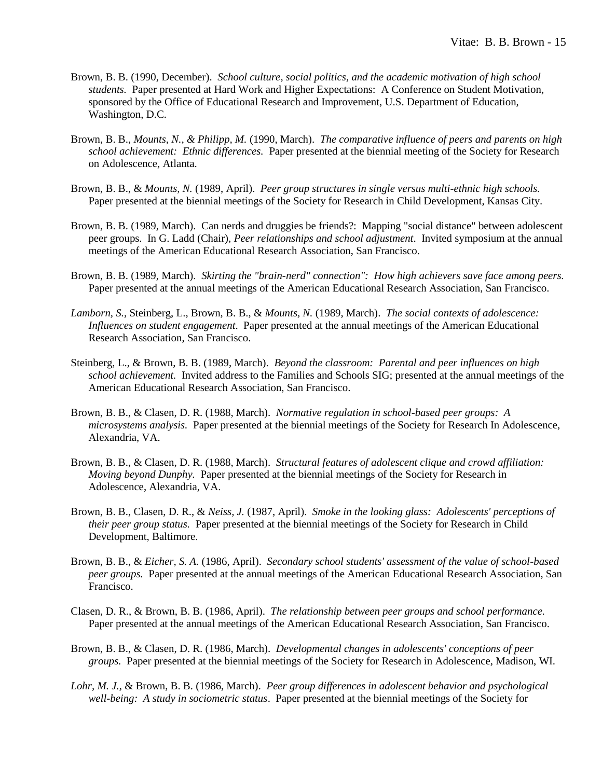- Brown, B. B. (1990, December). *School culture, social politics, and the academic motivation of high school students.* Paper presented at Hard Work and Higher Expectations: A Conference on Student Motivation, sponsored by the Office of Educational Research and Improvement, U.S. Department of Education, Washington, D.C.
- Brown, B. B., *Mounts, N., & Philipp, M.* (1990, March). *The comparative influence of peers and parents on high school achievement: Ethnic differences.* Paper presented at the biennial meeting of the Society for Research on Adolescence, Atlanta.
- Brown, B. B., & *Mounts, N.* (1989, April). *Peer group structures in single versus multi-ethnic high schools.*  Paper presented at the biennial meetings of the Society for Research in Child Development, Kansas City.
- Brown, B. B. (1989, March). Can nerds and druggies be friends?: Mapping "social distance" between adolescent peer groups. In G. Ladd (Chair), *Peer relationships and school adjustment*. Invited symposium at the annual meetings of the American Educational Research Association, San Francisco.
- Brown, B. B. (1989, March). *Skirting the "brain-nerd" connection": How high achievers save face among peers.* Paper presented at the annual meetings of the American Educational Research Association, San Francisco.
- *Lamborn, S.,* Steinberg, L., Brown, B. B., & *Mounts, N.* (1989, March). *The social contexts of adolescence: Influences on student engagement*. Paper presented at the annual meetings of the American Educational Research Association, San Francisco.
- Steinberg, L., & Brown, B. B. (1989, March). *Beyond the classroom: Parental and peer influences on high school achievement.* Invited address to the Families and Schools SIG; presented at the annual meetings of the American Educational Research Association, San Francisco.
- Brown, B. B., & Clasen, D. R. (1988, March). *Normative regulation in school-based peer groups: A microsystems analysis.* Paper presented at the biennial meetings of the Society for Research In Adolescence, Alexandria, VA.
- Brown, B. B., & Clasen, D. R. (1988, March). *Structural features of adolescent clique and crowd affiliation: Moving beyond Dunphy.* Paper presented at the biennial meetings of the Society for Research in Adolescence, Alexandria, VA.
- Brown, B. B., Clasen, D. R., & *Neiss, J.* (1987, April). *Smoke in the looking glass: Adolescents' perceptions of their peer group status.* Paper presented at the biennial meetings of the Society for Research in Child Development, Baltimore.
- Brown, B. B., & *Eicher, S. A.* (1986, April). *Secondary school students' assessment of the value of school-based peer groups.* Paper presented at the annual meetings of the American Educational Research Association, San Francisco.
- Clasen, D. R., & Brown, B. B. (1986, April). *The relationship between peer groups and school performance.* Paper presented at the annual meetings of the American Educational Research Association, San Francisco.
- Brown, B. B., & Clasen, D. R. (1986, March). *Developmental changes in adolescents' conceptions of peer groups.* Paper presented at the biennial meetings of the Society for Research in Adolescence, Madison, WI.
- *Lohr, M. J.,* & Brown, B. B. (1986, March). *Peer group differences in adolescent behavior and psychological well-being: A study in sociometric status*. Paper presented at the biennial meetings of the Society for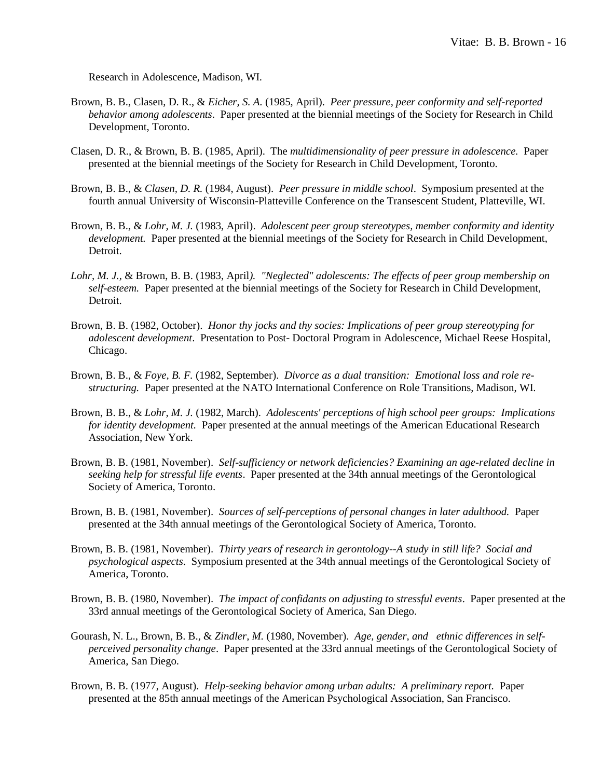Research in Adolescence, Madison, WI.

- Brown, B. B., Clasen, D. R., & *Eicher, S. A.* (1985, April). *Peer pressure, peer conformity and self-reported behavior among adolescents*. Paper presented at the biennial meetings of the Society for Research in Child Development, Toronto.
- Clasen, D. R., & Brown, B. B. (1985, April). The *multidimensionality of peer pressure in adolescence.* Paper presented at the biennial meetings of the Society for Research in Child Development, Toronto.
- Brown, B. B., & *Clasen, D. R.* (1984, August). *Peer pressure in middle school*. Symposium presented at the fourth annual University of Wisconsin-Platteville Conference on the Transescent Student, Platteville, WI.
- Brown, B. B., & *Lohr, M. J.* (1983, April). *Adolescent peer group stereotypes, member conformity and identity development.* Paper presented at the biennial meetings of the Society for Research in Child Development, Detroit.
- *Lohr, M. J.,* & Brown, B. B. (1983, April*). "Neglected" adolescents: The effects of peer group membership on self-esteem.* Paper presented at the biennial meetings of the Society for Research in Child Development, Detroit.
- Brown, B. B. (1982, October). *Honor thy jocks and thy socies: Implications of peer group stereotyping for adolescent development*. Presentation to Post- Doctoral Program in Adolescence, Michael Reese Hospital, Chicago.
- Brown, B. B., & *Foye, B. F.* (1982, September). *Divorce as a dual transition: Emotional loss and role restructuring.* Paper presented at the NATO International Conference on Role Transitions, Madison, WI.
- Brown, B. B., & *Lohr, M. J.* (1982, March). *Adolescents' perceptions of high school peer groups: Implications for identity development.* Paper presented at the annual meetings of the American Educational Research Association, New York.
- Brown, B. B. (1981, November). *Self-sufficiency or network deficiencies? Examining an age-related decline in seeking help for stressful life events*. Paper presented at the 34th annual meetings of the Gerontological Society of America, Toronto.
- Brown, B. B. (1981, November). *Sources of self-perceptions of personal changes in later adulthood.* Paper presented at the 34th annual meetings of the Gerontological Society of America, Toronto.
- Brown, B. B. (1981, November). *Thirty years of research in gerontology--A study in still life? Social and psychological aspects*. Symposium presented at the 34th annual meetings of the Gerontological Society of America, Toronto.
- Brown, B. B. (1980, November). *The impact of confidants on adjusting to stressful events*. Paper presented at the 33rd annual meetings of the Gerontological Society of America, San Diego.
- Gourash, N. L., Brown, B. B., & *Zindler, M.* (1980, November). *Age, gender, and ethnic differences in selfperceived personality change*. Paper presented at the 33rd annual meetings of the Gerontological Society of America, San Diego.
- Brown, B. B. (1977, August). *Help-seeking behavior among urban adults: A preliminary report.* Paper presented at the 85th annual meetings of the American Psychological Association, San Francisco.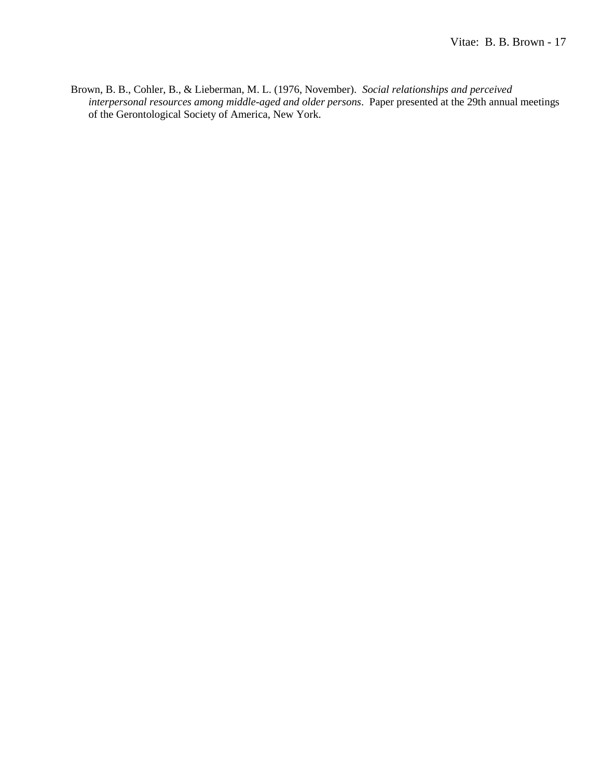Brown, B. B., Cohler, B., & Lieberman, M. L. (1976, November). *Social relationships and perceived interpersonal resources among middle-aged and older persons*. Paper presented at the 29th annual meetings of the Gerontological Society of America, New York.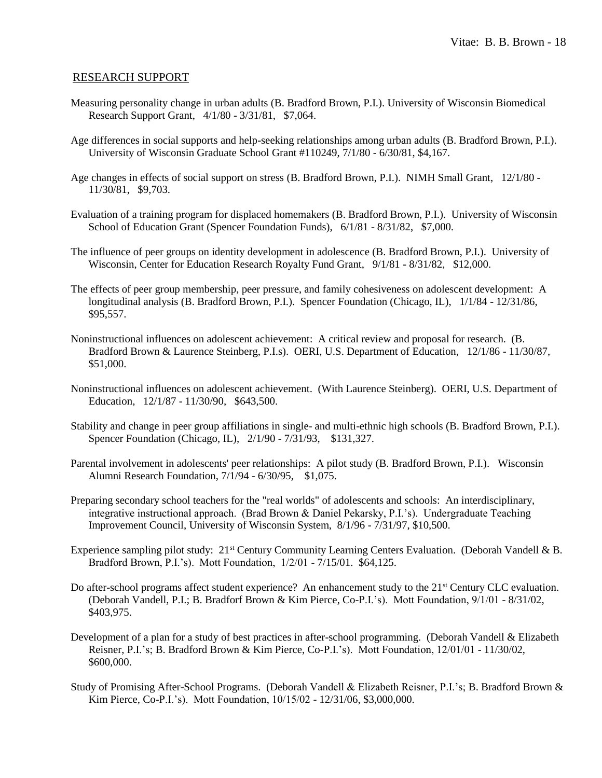#### RESEARCH SUPPORT

- Measuring personality change in urban adults (B. Bradford Brown, P.I.). University of Wisconsin Biomedical Research Support Grant, 4/1/80 - 3/31/81, \$7,064.
- Age differences in social supports and help-seeking relationships among urban adults (B. Bradford Brown, P.I.). University of Wisconsin Graduate School Grant #110249, 7/1/80 - 6/30/81, \$4,167.
- Age changes in effects of social support on stress (B. Bradford Brown, P.I.). NIMH Small Grant, 12/1/80 11/30/81, \$9,703.
- Evaluation of a training program for displaced homemakers (B. Bradford Brown, P.I.). University of Wisconsin School of Education Grant (Spencer Foundation Funds), 6/1/81 - 8/31/82, \$7,000.
- The influence of peer groups on identity development in adolescence (B. Bradford Brown, P.I.). University of Wisconsin, Center for Education Research Royalty Fund Grant, 9/1/81 - 8/31/82, \$12,000.
- The effects of peer group membership, peer pressure, and family cohesiveness on adolescent development: A longitudinal analysis (B. Bradford Brown, P.I.). Spencer Foundation (Chicago, IL), 1/1/84 - 12/31/86, \$95,557.
- Noninstructional influences on adolescent achievement: A critical review and proposal for research. (B. Bradford Brown & Laurence Steinberg, P.I.s). OERI, U.S. Department of Education, 12/1/86 - 11/30/87, \$51,000.
- Noninstructional influences on adolescent achievement. (With Laurence Steinberg). OERI, U.S. Department of Education, 12/1/87 - 11/30/90, \$643,500.
- Stability and change in peer group affiliations in single- and multi-ethnic high schools (B. Bradford Brown, P.I.). Spencer Foundation (Chicago, IL), 2/1/90 - 7/31/93, \$131,327.
- Parental involvement in adolescents' peer relationships: A pilot study (B. Bradford Brown, P.I.). Wisconsin Alumni Research Foundation, 7/1/94 - 6/30/95, \$1,075.
- Preparing secondary school teachers for the "real worlds" of adolescents and schools: An interdisciplinary, integrative instructional approach. (Brad Brown & Daniel Pekarsky, P.I.'s). Undergraduate Teaching Improvement Council, University of Wisconsin System, 8/1/96 - 7/31/97, \$10,500.
- Experience sampling pilot study: 21<sup>st</sup> Century Community Learning Centers Evaluation. (Deborah Vandell & B. Bradford Brown, P.I.'s). Mott Foundation, 1/2/01 - 7/15/01. \$64,125.
- Do after-school programs affect student experience? An enhancement study to the 21<sup>st</sup> Century CLC evaluation. (Deborah Vandell, P.I.; B. Bradforf Brown & Kim Pierce, Co-P.I.'s). Mott Foundation, 9/1/01 - 8/31/02, \$403,975.
- Development of a plan for a study of best practices in after-school programming. (Deborah Vandell & Elizabeth Reisner, P.I.'s; B. Bradford Brown & Kim Pierce, Co-P.I.'s). Mott Foundation, 12/01/01 - 11/30/02, \$600,000.
- Study of Promising After-School Programs. (Deborah Vandell & Elizabeth Reisner, P.I.'s; B. Bradford Brown & Kim Pierce, Co-P.I.'s). Mott Foundation, 10/15/02 - 12/31/06, \$3,000,000.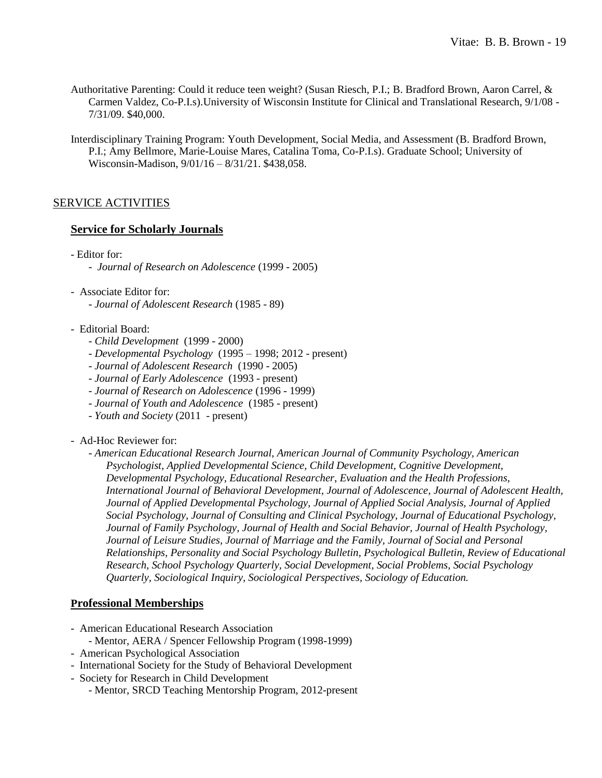- Authoritative Parenting: Could it reduce teen weight? (Susan Riesch, P.I.; B. Bradford Brown, Aaron Carrel, & Carmen Valdez, Co-P.I.s).University of Wisconsin Institute for Clinical and Translational Research, 9/1/08 - 7/31/09. \$40,000.
- Interdisciplinary Training Program: Youth Development, Social Media, and Assessment (B. Bradford Brown, P.I.; Amy Bellmore, Marie-Louise Mares, Catalina Toma, Co-P.I.s). Graduate School; University of Wisconsin-Madison, 9/01/16 – 8/31/21. \$438,058.

# SERVICE ACTIVITIES

### **Service for Scholarly Journals**

- Editor for:
	- *Journal of Research on Adolescence* (1999 2005)
- Associate Editor for:
	- *Journal of Adolescent Research* (1985 89)
- Editorial Board:
	- *Child Development* (1999 2000)
	- *Developmental Psychology* (1995 1998; 2012 present)
	- *Journal of Adolescent Research* (1990 2005)
	- *Journal of Early Adolescence* (1993 present)
	- *Journal of Research on Adolescence* (1996 1999)
	- *Journal of Youth and Adolescence* (1985 present)
	- *Youth and Society* (2011 present)
- Ad-Hoc Reviewer for:
	- *American Educational Research Journal, American Journal of Community Psychology, American Psychologist, Applied Developmental Science, Child Development, Cognitive Development, Developmental Psychology, Educational Researcher*, *Evaluation and the Health Professions, International Journal of Behavioral Development, Journal of Adolescence, Journal of Adolescent Health, Journal of Applied Developmental Psychology, Journal of Applied Social Analysis, Journal of Applied Social Psychology, Journal of Consulting and Clinical Psychology, Journal of Educational Psychology, Journal of Family Psychology, Journal of Health and Social Behavior, Journal of Health Psychology, Journal of Leisure Studies, Journal of Marriage and the Family, Journal of Social and Personal Relationships, Personality and Social Psychology Bulletin, Psychological Bulletin, Review of Educational Research, School Psychology Quarterly, Social Development, Social Problems, Social Psychology Quarterly, Sociological Inquiry, Sociological Perspectives, Sociology of Education.*

### **Professional Memberships**

- American Educational Research Association
	- Mentor, AERA / Spencer Fellowship Program (1998-1999)
- American Psychological Association
- International Society for the Study of Behavioral Development
- Society for Research in Child Development
	- Mentor, SRCD Teaching Mentorship Program, 2012-present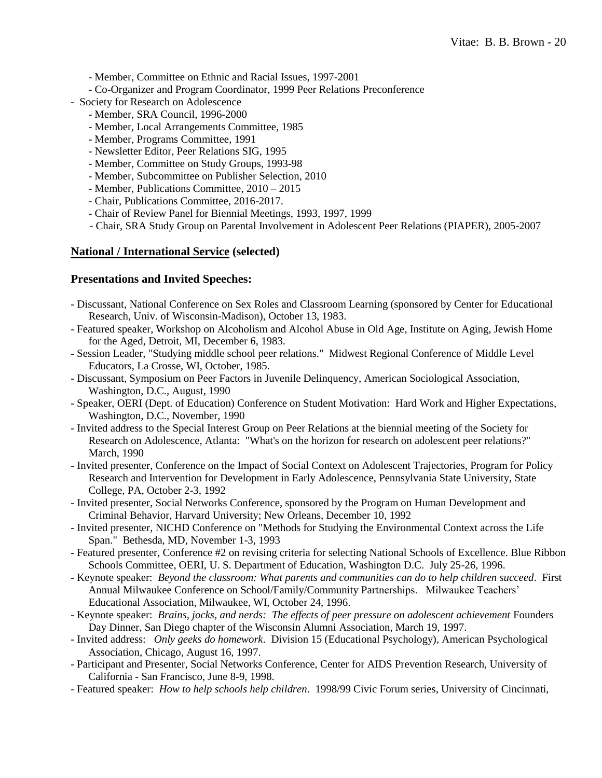- Member, Committee on Ethnic and Racial Issues, 1997-2001
- Co-Organizer and Program Coordinator, 1999 Peer Relations Preconference
- Society for Research on Adolescence
	- Member, SRA Council, 1996-2000
	- Member, Local Arrangements Committee, 1985
	- Member, Programs Committee, 1991
	- Newsletter Editor, Peer Relations SIG, 1995
	- Member, Committee on Study Groups, 1993-98
	- Member, Subcommittee on Publisher Selection, 2010
	- Member, Publications Committee, 2010 2015
	- Chair, Publications Committee, 2016-2017.
	- Chair of Review Panel for Biennial Meetings, 1993, 1997, 1999
	- Chair, SRA Study Group on Parental Involvement in Adolescent Peer Relations (PIAPER), 2005-2007

# **National / International Service (selected)**

# **Presentations and Invited Speeches:**

- Discussant, National Conference on Sex Roles and Classroom Learning (sponsored by Center for Educational Research, Univ. of Wisconsin-Madison), October 13, 1983.
- Featured speaker, Workshop on Alcoholism and Alcohol Abuse in Old Age, Institute on Aging, Jewish Home for the Aged, Detroit, MI, December 6, 1983.
- Session Leader, "Studying middle school peer relations." Midwest Regional Conference of Middle Level Educators, La Crosse, WI, October, 1985.
- Discussant, Symposium on Peer Factors in Juvenile Delinquency, American Sociological Association, Washington, D.C., August, 1990
- Speaker, OERI (Dept. of Education) Conference on Student Motivation: Hard Work and Higher Expectations, Washington, D.C., November, 1990
- Invited address to the Special Interest Group on Peer Relations at the biennial meeting of the Society for Research on Adolescence, Atlanta: "What's on the horizon for research on adolescent peer relations?" March, 1990
- Invited presenter, Conference on the Impact of Social Context on Adolescent Trajectories, Program for Policy Research and Intervention for Development in Early Adolescence, Pennsylvania State University, State College, PA, October 2-3, 1992
- Invited presenter, Social Networks Conference, sponsored by the Program on Human Development and Criminal Behavior, Harvard University; New Orleans, December 10, 1992
- Invited presenter, NICHD Conference on "Methods for Studying the Environmental Context across the Life Span." Bethesda, MD, November 1-3, 1993
- Featured presenter, Conference #2 on revising criteria for selecting National Schools of Excellence. Blue Ribbon Schools Committee, OERI, U. S. Department of Education, Washington D.C. July 25-26, 1996.
- Keynote speaker: *Beyond the classroom: What parents and communities can do to help children succeed*. First Annual Milwaukee Conference on School/Family/Community Partnerships. Milwaukee Teachers' Educational Association, Milwaukee, WI, October 24, 1996.
- Keynote speaker: *Brains, jocks, and nerds: The effects of peer pressure on adolescent achievement* Founders Day Dinner, San Diego chapter of the Wisconsin Alumni Association, March 19, 1997.
- Invited address: *Only geeks do homework*. Division 15 (Educational Psychology), American Psychological Association, Chicago, August 16, 1997.
- Participant and Presenter, Social Networks Conference, Center for AIDS Prevention Research, University of California - San Francisco, June 8-9, 1998.
- Featured speaker: *How to help schools help children*. 1998/99 Civic Forum series, University of Cincinnati,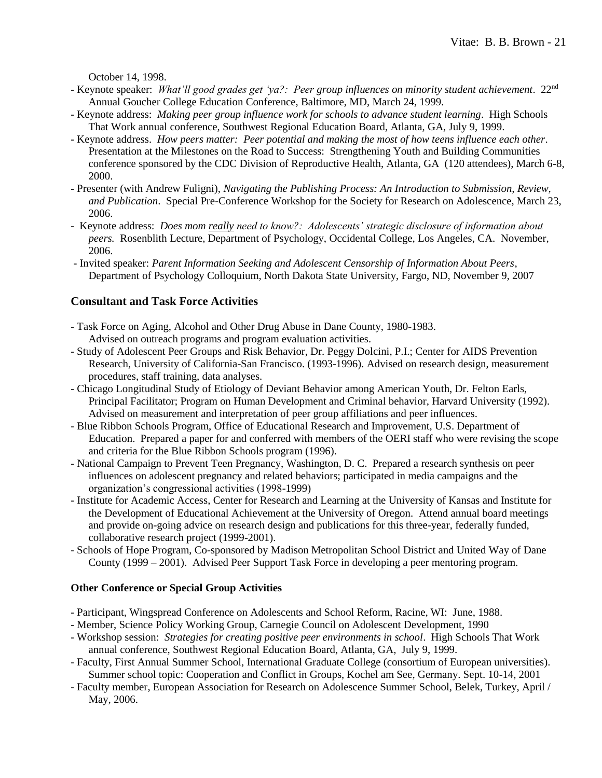October 14, 1998.

- Keynote speaker: *What'll good grades get 'ya?: Peer group influences on minority student achievement*. 22nd Annual Goucher College Education Conference, Baltimore, MD, March 24, 1999.
- Keynote address: *Making peer group influence work for schools to advance student learning*. High Schools That Work annual conference, Southwest Regional Education Board, Atlanta, GA, July 9, 1999.
- Keynote address. *How peers matter: Peer potential and making the most of how teens influence each other*. Presentation at the Milestones on the Road to Success: Strengthening Youth and Building Communities conference sponsored by the CDC Division of Reproductive Health, Atlanta, GA (120 attendees), March 6-8, 2000.
- Presenter (with Andrew Fuligni), *Navigating the Publishing Process: An Introduction to Submission, Review, and Publication*. Special Pre-Conference Workshop for the Society for Research on Adolescence, March 23, 2006.
- Keynote address: *Does mom really need to know?: Adolescents' strategic disclosure of information about peers.* Rosenblith Lecture, Department of Psychology, Occidental College, Los Angeles, CA. November, 2006.
- Invited speaker: *Parent Information Seeking and Adolescent Censorship of Information About Peers*, Department of Psychology Colloquium, North Dakota State University, Fargo, ND, November 9, 2007

# **Consultant and Task Force Activities**

- Task Force on Aging, Alcohol and Other Drug Abuse in Dane County, 1980-1983. Advised on outreach programs and program evaluation activities.
- Study of Adolescent Peer Groups and Risk Behavior, Dr. Peggy Dolcini, P.I.; Center for AIDS Prevention Research, University of California-San Francisco. (1993-1996). Advised on research design, measurement procedures, staff training, data analyses.
- Chicago Longitudinal Study of Etiology of Deviant Behavior among American Youth, Dr. Felton Earls, Principal Facilitator; Program on Human Development and Criminal behavior, Harvard University (1992). Advised on measurement and interpretation of peer group affiliations and peer influences.
- Blue Ribbon Schools Program, Office of Educational Research and Improvement, U.S. Department of Education. Prepared a paper for and conferred with members of the OERI staff who were revising the scope and criteria for the Blue Ribbon Schools program (1996).
- National Campaign to Prevent Teen Pregnancy, Washington, D. C. Prepared a research synthesis on peer influences on adolescent pregnancy and related behaviors; participated in media campaigns and the organization's congressional activities (1998-1999)
- Institute for Academic Access, Center for Research and Learning at the University of Kansas and Institute for the Development of Educational Achievement at the University of Oregon. Attend annual board meetings and provide on-going advice on research design and publications for this three-year, federally funded, collaborative research project (1999-2001).
- Schools of Hope Program, Co-sponsored by Madison Metropolitan School District and United Way of Dane County (1999 – 2001). Advised Peer Support Task Force in developing a peer mentoring program.

#### **Other Conference or Special Group Activities**

- Participant, Wingspread Conference on Adolescents and School Reform, Racine, WI: June, 1988.
- Member, Science Policy Working Group, Carnegie Council on Adolescent Development, 1990
- Workshop session: *Strategies for creating positive peer environments in school*. High Schools That Work annual conference, Southwest Regional Education Board, Atlanta, GA, July 9, 1999.
- Faculty, First Annual Summer School, International Graduate College (consortium of European universities). Summer school topic: Cooperation and Conflict in Groups, Kochel am See, Germany. Sept. 10-14, 2001
- Faculty member, European Association for Research on Adolescence Summer School, Belek, Turkey, April / May, 2006.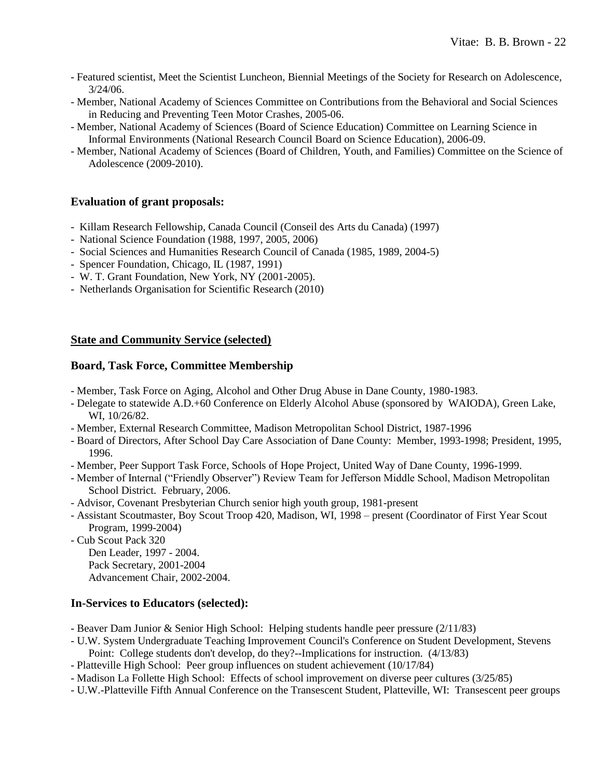- Featured scientist, Meet the Scientist Luncheon, Biennial Meetings of the Society for Research on Adolescence, 3/24/06.
- Member, National Academy of Sciences Committee on Contributions from the Behavioral and Social Sciences in Reducing and Preventing Teen Motor Crashes, 2005-06.
- Member, National Academy of Sciences (Board of Science Education) Committee on Learning Science in Informal Environments (National Research Council Board on Science Education), 2006-09.
- Member, National Academy of Sciences (Board of Children, Youth, and Families) Committee on the Science of Adolescence (2009-2010).

### **Evaluation of grant proposals:**

- Killam Research Fellowship, Canada Council (Conseil des Arts du Canada) (1997)
- National Science Foundation (1988, 1997, 2005, 2006)
- Social Sciences and Humanities Research Council of Canada (1985, 1989, 2004-5)
- Spencer Foundation, Chicago, IL (1987, 1991)
- W. T. Grant Foundation, New York, NY (2001-2005).
- Netherlands Organisation for Scientific Research (2010)

# **State and Community Service (selected)**

### **Board, Task Force, Committee Membership**

- Member, Task Force on Aging, Alcohol and Other Drug Abuse in Dane County, 1980-1983.
- Delegate to statewide A.D.+60 Conference on Elderly Alcohol Abuse (sponsored by WAIODA), Green Lake, WI, 10/26/82.
- Member, External Research Committee, Madison Metropolitan School District, 1987-1996
- Board of Directors, After School Day Care Association of Dane County: Member, 1993-1998; President, 1995, 1996.
- Member, Peer Support Task Force, Schools of Hope Project, United Way of Dane County, 1996-1999.
- Member of Internal ("Friendly Observer") Review Team for Jefferson Middle School, Madison Metropolitan School District. February, 2006.
- Advisor, Covenant Presbyterian Church senior high youth group, 1981-present
- Assistant Scoutmaster, Boy Scout Troop 420, Madison, WI, 1998 present (Coordinator of First Year Scout Program, 1999-2004)
- Cub Scout Pack 320

Den Leader, 1997 - 2004. Pack Secretary, 2001-2004 Advancement Chair, 2002-2004.

### **In-Services to Educators (selected):**

- Beaver Dam Junior & Senior High School: Helping students handle peer pressure (2/11/83)
- U.W. System Undergraduate Teaching Improvement Council's Conference on Student Development, Stevens Point: College students don't develop, do they?--Implications for instruction. (4/13/83)
- Platteville High School: Peer group influences on student achievement (10/17/84)
- Madison La Follette High School: Effects of school improvement on diverse peer cultures (3/25/85)
- U.W.-Platteville Fifth Annual Conference on the Transescent Student, Platteville, WI: Transescent peer groups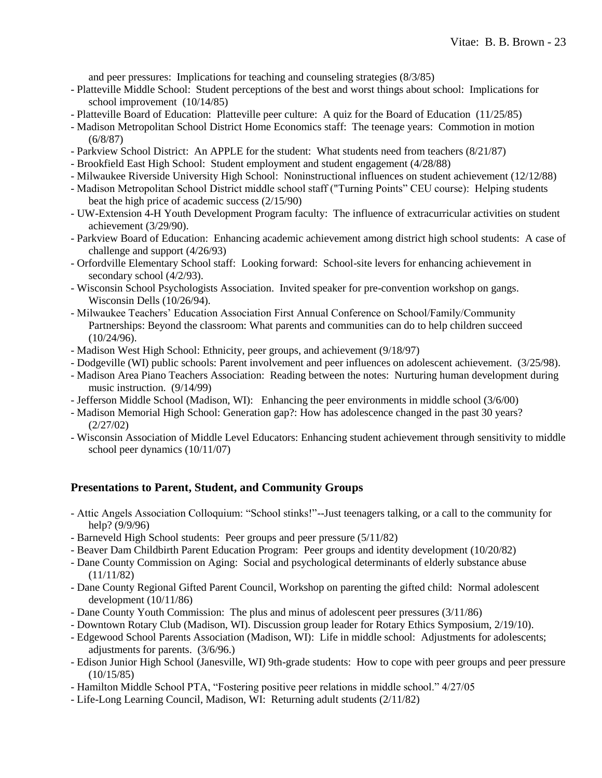and peer pressures: Implications for teaching and counseling strategies (8/3/85)

- Platteville Middle School: Student perceptions of the best and worst things about school: Implications for school improvement (10/14/85)
- Platteville Board of Education: Platteville peer culture: A quiz for the Board of Education (11/25/85)
- Madison Metropolitan School District Home Economics staff: The teenage years: Commotion in motion (6/8/87)
- Parkview School District: An APPLE for the student: What students need from teachers (8/21/87)
- Brookfield East High School: Student employment and student engagement (4/28/88)
- Milwaukee Riverside University High School: Noninstructional influences on student achievement (12/12/88)
- Madison Metropolitan School District middle school staff ("Turning Points" CEU course): Helping students beat the high price of academic success (2/15/90)
- UW-Extension 4-H Youth Development Program faculty: The influence of extracurricular activities on student achievement (3/29/90).
- Parkview Board of Education: Enhancing academic achievement among district high school students: A case of challenge and support (4/26/93)
- Orfordville Elementary School staff: Looking forward: School-site levers for enhancing achievement in secondary school (4/2/93).
- Wisconsin School Psychologists Association. Invited speaker for pre-convention workshop on gangs. Wisconsin Dells (10/26/94).
- Milwaukee Teachers' Education Association First Annual Conference on School/Family/Community Partnerships: Beyond the classroom: What parents and communities can do to help children succeed (10/24/96).
- Madison West High School: Ethnicity, peer groups, and achievement (9/18/97)
- Dodgeville (WI) public schools: Parent involvement and peer influences on adolescent achievement. (3/25/98).
- Madison Area Piano Teachers Association: Reading between the notes: Nurturing human development during music instruction. (9/14/99)
- Jefferson Middle School (Madison, WI): Enhancing the peer environments in middle school (3/6/00)
- Madison Memorial High School: Generation gap?: How has adolescence changed in the past 30 years? (2/27/02)
- Wisconsin Association of Middle Level Educators: Enhancing student achievement through sensitivity to middle school peer dynamics (10/11/07)

### **Presentations to Parent, Student, and Community Groups**

- Attic Angels Association Colloquium: "School stinks!"--Just teenagers talking, or a call to the community for help? (9/9/96)
- Barneveld High School students: Peer groups and peer pressure (5/11/82)
- Beaver Dam Childbirth Parent Education Program: Peer groups and identity development (10/20/82)
- Dane County Commission on Aging: Social and psychological determinants of elderly substance abuse (11/11/82)
- Dane County Regional Gifted Parent Council, Workshop on parenting the gifted child: Normal adolescent development (10/11/86)
- Dane County Youth Commission: The plus and minus of adolescent peer pressures (3/11/86)
- Downtown Rotary Club (Madison, WI). Discussion group leader for Rotary Ethics Symposium, 2/19/10).
- Edgewood School Parents Association (Madison, WI): Life in middle school: Adjustments for adolescents; adjustments for parents. (3/6/96.)
- Edison Junior High School (Janesville, WI) 9th-grade students: How to cope with peer groups and peer pressure (10/15/85)
- Hamilton Middle School PTA, "Fostering positive peer relations in middle school." 4/27/05
- Life-Long Learning Council, Madison, WI: Returning adult students (2/11/82)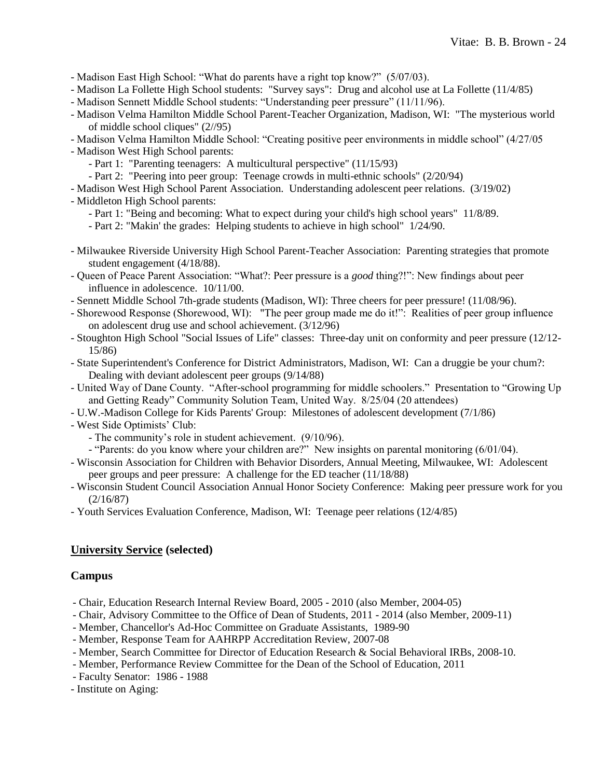- Madison East High School: "What do parents have a right top know?" (5/07/03).

- Madison La Follette High School students: "Survey says": Drug and alcohol use at La Follette (11/4/85)
- Madison Sennett Middle School students: "Understanding peer pressure" (11/11/96).
- Madison Velma Hamilton Middle School Parent-Teacher Organization, Madison, WI: "The mysterious world of middle school cliques" (2//95)
- Madison Velma Hamilton Middle School: "Creating positive peer environments in middle school" (4/27/05
- Madison West High School parents:
	- Part 1: "Parenting teenagers: A multicultural perspective" (11/15/93)
	- Part 2: "Peering into peer group: Teenage crowds in multi-ethnic schools" (2/20/94)
- Madison West High School Parent Association. Understanding adolescent peer relations. (3/19/02)
- Middleton High School parents:
	- Part 1: "Being and becoming: What to expect during your child's high school years" 11/8/89.
	- Part 2: "Makin' the grades: Helping students to achieve in high school" 1/24/90.
- Milwaukee Riverside University High School Parent-Teacher Association: Parenting strategies that promote student engagement (4/18/88).
- Queen of Peace Parent Association: "What?: Peer pressure is a *good* thing?!": New findings about peer influence in adolescence. 10/11/00.
- Sennett Middle School 7th-grade students (Madison, WI): Three cheers for peer pressure! (11/08/96).
- Shorewood Response (Shorewood, WI): "The peer group made me do it!": Realities of peer group influence on adolescent drug use and school achievement. (3/12/96)
- Stoughton High School "Social Issues of Life" classes: Three-day unit on conformity and peer pressure (12/12- 15/86)
- State Superintendent's Conference for District Administrators, Madison, WI: Can a druggie be your chum?: Dealing with deviant adolescent peer groups (9/14/88)
- United Way of Dane County. "After-school programming for middle schoolers." Presentation to "Growing Up and Getting Ready" Community Solution Team, United Way. 8/25/04 (20 attendees)
- U.W.-Madison College for Kids Parents' Group: Milestones of adolescent development (7/1/86)
- West Side Optimists' Club:
	- The community's role in student achievement. (9/10/96).
	- "Parents: do you know where your children are?" New insights on parental monitoring (6/01/04).
- Wisconsin Association for Children with Behavior Disorders, Annual Meeting, Milwaukee, WI: Adolescent peer groups and peer pressure: A challenge for the ED teacher (11/18/88)
- Wisconsin Student Council Association Annual Honor Society Conference: Making peer pressure work for you (2/16/87)
- Youth Services Evaluation Conference, Madison, WI: Teenage peer relations (12/4/85)

### **University Service (selected)**

### **Campus**

- Chair, Education Research Internal Review Board, 2005 2010 (also Member, 2004-05)
- Chair, Advisory Committee to the Office of Dean of Students, 2011 2014 (also Member, 2009-11)
- Member, Chancellor's Ad-Hoc Committee on Graduate Assistants, 1989-90
- Member, Response Team for AAHRPP Accreditation Review, 2007-08
- Member, Search Committee for Director of Education Research & Social Behavioral IRBs, 2008-10.
- Member, Performance Review Committee for the Dean of the School of Education, 2011
- Faculty Senator: 1986 1988
- Institute on Aging: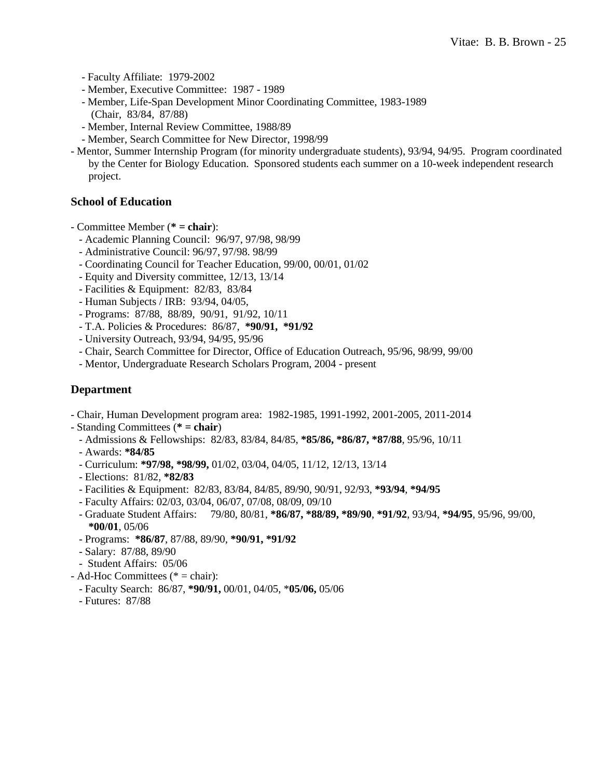- Faculty Affiliate: 1979-2002

- Member, Executive Committee: 1987 1989
- Member, Life-Span Development Minor Coordinating Committee, 1983-1989 (Chair, 83/84, 87/88)
- Member, Internal Review Committee, 1988/89
- Member, Search Committee for New Director, 1998/99
- Mentor, Summer Internship Program (for minority undergraduate students), 93/94, 94/95. Program coordinated by the Center for Biology Education. Sponsored students each summer on a 10-week independent research project.

### **School of Education**

- Committee Member (**\* = chair**):
	- Academic Planning Council: 96/97, 97/98, 98/99
	- Administrative Council: 96/97, 97/98. 98/99
	- Coordinating Council for Teacher Education, 99/00, 00/01, 01/02
	- Equity and Diversity committee, 12/13, 13/14
	- Facilities & Equipment: 82/83, 83/84
	- Human Subjects / IRB: 93/94, 04/05,
	- Programs: 87/88, 88/89, 90/91, 91/92, 10/11
	- T.A. Policies & Procedures: 86/87, **\*90/91, \*91/92**
	- University Outreach, 93/94, 94/95, 95/96
	- Chair, Search Committee for Director, Office of Education Outreach, 95/96, 98/99, 99/00
	- Mentor, Undergraduate Research Scholars Program, 2004 present

### **Department**

- Chair, Human Development program area: 1982-1985, 1991-1992, 2001-2005, 2011-2014
- Standing Committees (**\* = chair**)
	- Admissions & Fellowships: 82/83, 83/84, 84/85, **\*85/86, \*86/87, \*87/88**, 95/96, 10/11
	- Awards: **\*84/85**
	- Curriculum: **\*97/98, \*98/99,** 01/02, 03/04, 04/05, 11/12, 12/13, 13/14
	- Elections: 81/82, **\*82/83**
	- Facilities & Equipment: 82/83, 83/84, 84/85, 89/90, 90/91, 92/93, **\*93/94**, **\*94/95**
	- Faculty Affairs: 02/03, 03/04, 06/07, 07/08, 08/09, 09/10
	- Graduate Student Affairs: 79/80, 80/81, **\*86/87, \*88/89, \*89/90**, **\*91/92**, 93/94, **\*94/95**, 95/96, 99/00, **\*00/01**, 05/06
	- Programs: **\*86/87**, 87/88, 89/90, **\*90/91, \*91/92**
	- Salary: 87/88, 89/90
	- Student Affairs: 05/06
- Ad-Hoc Committees (\* = chair):
	- Faculty Search: 86/87, **\*90/91,** 00/01, 04/05, \***05/06,** 05/06
	- Futures: 87/88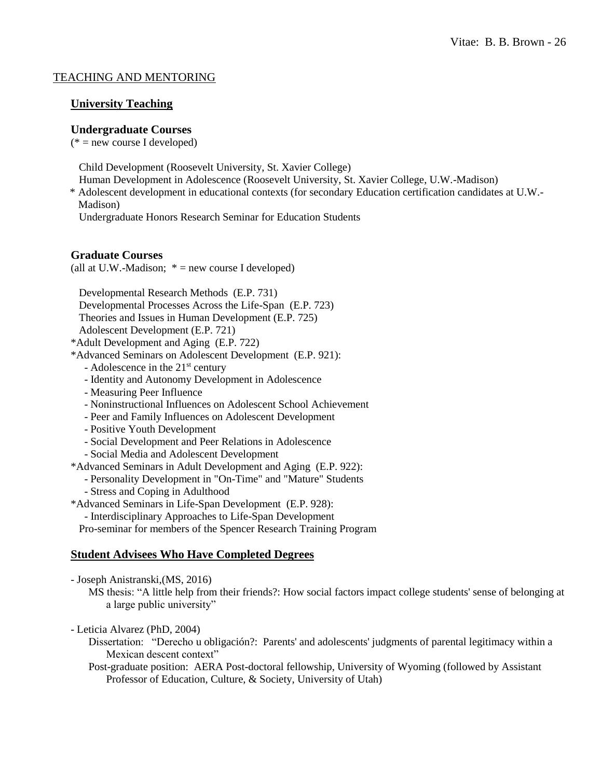### TEACHING AND MENTORING

### **University Teaching**

#### **Undergraduate Courses**

 $(*)$  = new course I developed)

Child Development (Roosevelt University, St. Xavier College)

- Human Development in Adolescence (Roosevelt University, St. Xavier College, U.W.-Madison)
- \* Adolescent development in educational contexts (for secondary Education certification candidates at U.W.- Madison)

Undergraduate Honors Research Seminar for Education Students

#### **Graduate Courses**

(all at U.W.-Madison;  $* = new course I developed$ )

Developmental Research Methods (E.P. 731)

- Developmental Processes Across the Life-Span (E.P. 723)
- Theories and Issues in Human Development (E.P. 725)
- Adolescent Development (E.P. 721)
- \*Adult Development and Aging (E.P. 722)
- \*Advanced Seminars on Adolescent Development (E.P. 921):
	- $-$  Adolescence in the  $21<sup>st</sup>$  century
	- Identity and Autonomy Development in Adolescence
	- Measuring Peer Influence
	- Noninstructional Influences on Adolescent School Achievement
	- Peer and Family Influences on Adolescent Development
	- Positive Youth Development
	- Social Development and Peer Relations in Adolescence
	- Social Media and Adolescent Development
- \*Advanced Seminars in Adult Development and Aging (E.P. 922):
	- Personality Development in "On-Time" and "Mature" Students
	- Stress and Coping in Adulthood
- \*Advanced Seminars in Life-Span Development (E.P. 928):
	- Interdisciplinary Approaches to Life-Span Development

Pro-seminar for members of the Spencer Research Training Program

#### **Student Advisees Who Have Completed Degrees**

- Joseph Anistranski,(MS, 2016)

MS thesis: "A little help from their friends?: How social factors impact college students' sense of belonging at a large public university"

- Leticia Alvarez (PhD, 2004)
	- Dissertation: "Derecho u obligación?: Parents' and adolescents' judgments of parental legitimacy within a Mexican descent context"
	- Post-graduate position: AERA Post-doctoral fellowship, University of Wyoming (followed by Assistant Professor of Education, Culture, & Society, University of Utah)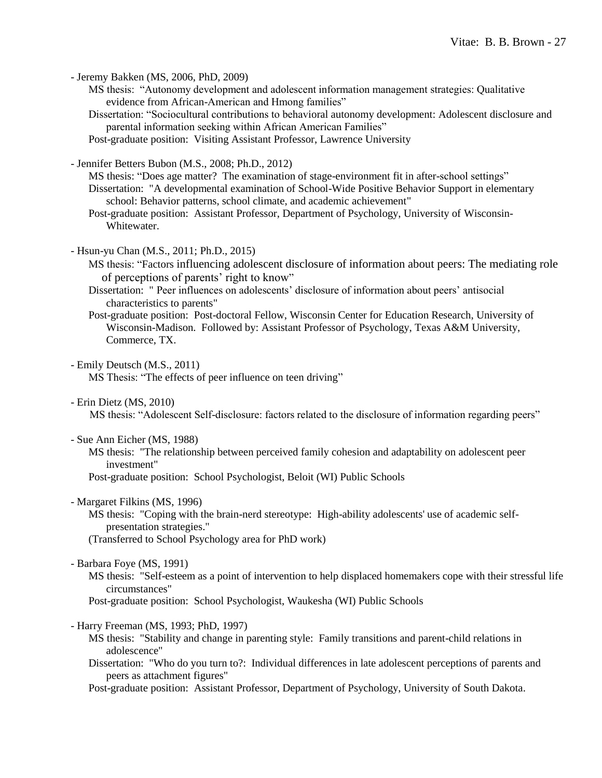- Jeremy Bakken (MS, 2006, PhD, 2009)

MS thesis: "Autonomy development and adolescent information management strategies: Qualitative evidence from African-American and Hmong families"

Dissertation: "Sociocultural contributions to behavioral autonomy development: Adolescent disclosure and parental information seeking within African American Families"

Post-graduate position: Visiting Assistant Professor, Lawrence University

- Jennifer Betters Bubon (M.S., 2008; Ph.D., 2012)

MS thesis: "Does age matter? The examination of stage-environment fit in after-school settings" Dissertation: "A developmental examination of School-Wide Positive Behavior Support in elementary school: Behavior patterns, school climate, and academic achievement"

Post-graduate position: Assistant Professor, Department of Psychology, University of Wisconsin-Whitewater.

- Hsun-yu Chan (M.S., 2011; Ph.D., 2015)

MS thesis: "Factors influencing adolescent disclosure of information about peers: The mediating role of perceptions of parents' right to know"

Dissertation: " Peer influences on adolescents' disclosure of information about peers' antisocial characteristics to parents"

Post-graduate position: Post-doctoral Fellow, Wisconsin Center for Education Research, University of Wisconsin-Madison. Followed by: Assistant Professor of Psychology, Texas A&M University, Commerce, TX.

- Emily Deutsch (M.S., 2011) MS Thesis: "The effects of peer influence on teen driving"

- Erin Dietz (MS, 2010)

MS thesis: "Adolescent Self-disclosure: factors related to the disclosure of information regarding peers"

- Sue Ann Eicher (MS, 1988)

MS thesis: "The relationship between perceived family cohesion and adaptability on adolescent peer investment"

Post-graduate position: School Psychologist, Beloit (WI) Public Schools

- Margaret Filkins (MS, 1996)

MS thesis: "Coping with the brain-nerd stereotype: High-ability adolescents' use of academic selfpresentation strategies."

(Transferred to School Psychology area for PhD work)

- Barbara Foye (MS, 1991)

MS thesis: "Self-esteem as a point of intervention to help displaced homemakers cope with their stressful life circumstances"

Post-graduate position: School Psychologist, Waukesha (WI) Public Schools

- Harry Freeman (MS, 1993; PhD, 1997)
	- MS thesis: "Stability and change in parenting style: Family transitions and parent-child relations in adolescence"
	- Dissertation: "Who do you turn to?: Individual differences in late adolescent perceptions of parents and peers as attachment figures"

Post-graduate position: Assistant Professor, Department of Psychology, University of South Dakota.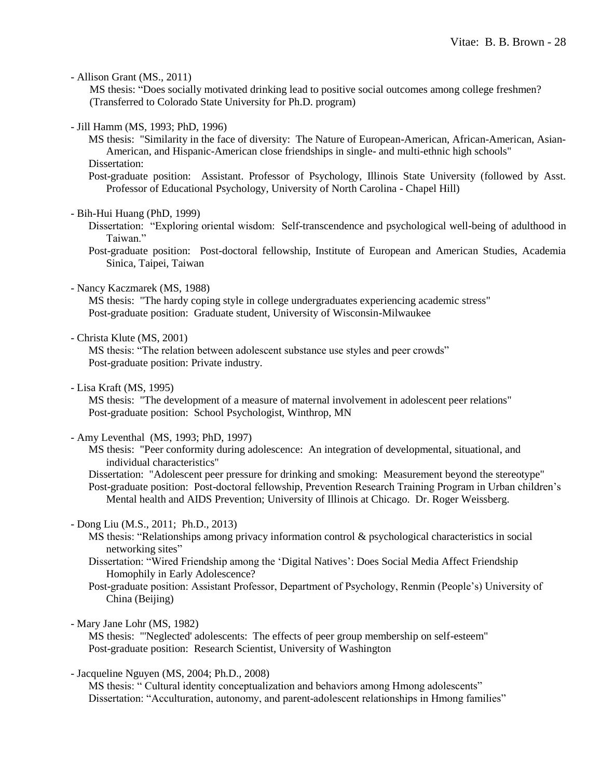- Allison Grant (MS., 2011)

MS thesis: "Does socially motivated drinking lead to positive social outcomes among college freshmen? (Transferred to Colorado State University for Ph.D. program)

- Jill Hamm (MS, 1993; PhD, 1996)

MS thesis: "Similarity in the face of diversity: The Nature of European-American, African-American, Asian-American, and Hispanic-American close friendships in single- and multi-ethnic high schools" Dissertation:

Post-graduate position: Assistant. Professor of Psychology, Illinois State University (followed by Asst. Professor of Educational Psychology, University of North Carolina - Chapel Hill)

#### - Bih-Hui Huang (PhD, 1999)

Dissertation: "Exploring oriental wisdom: Self-transcendence and psychological well-being of adulthood in Taiwan."

Post-graduate position: Post-doctoral fellowship, Institute of European and American Studies, Academia Sinica, Taipei, Taiwan

- Nancy Kaczmarek (MS, 1988)

MS thesis: "The hardy coping style in college undergraduates experiencing academic stress" Post-graduate position: Graduate student, University of Wisconsin-Milwaukee

- Christa Klute (MS, 2001)

MS thesis: "The relation between adolescent substance use styles and peer crowds" Post-graduate position: Private industry.

- Lisa Kraft (MS, 1995)

MS thesis: "The development of a measure of maternal involvement in adolescent peer relations" Post-graduate position: School Psychologist, Winthrop, MN

#### - Amy Leventhal (MS, 1993; PhD, 1997)

MS thesis: "Peer conformity during adolescence: An integration of developmental, situational, and individual characteristics"

Dissertation: "Adolescent peer pressure for drinking and smoking: Measurement beyond the stereotype" Post-graduate position: Post-doctoral fellowship, Prevention Research Training Program in Urban children's Mental health and AIDS Prevention; University of Illinois at Chicago. Dr. Roger Weissberg.

#### - Dong Liu (M.S., 2011; Ph.D., 2013)

- MS thesis: "Relationships among privacy information control & psychological characteristics in social networking sites"
- Dissertation: "Wired Friendship among the 'Digital Natives': Does Social Media Affect Friendship Homophily in Early Adolescence?
- Post-graduate position: Assistant Professor, Department of Psychology, Renmin (People's) University of China (Beijing)

#### - Mary Jane Lohr (MS, 1982)

MS thesis: "'Neglected' adolescents: The effects of peer group membership on self-esteem" Post-graduate position: Research Scientist, University of Washington

- Jacqueline Nguyen (MS, 2004; Ph.D., 2008)

MS thesis: " Cultural identity conceptualization and behaviors among Hmong adolescents" Dissertation: "Acculturation, autonomy, and parent-adolescent relationships in Hmong families"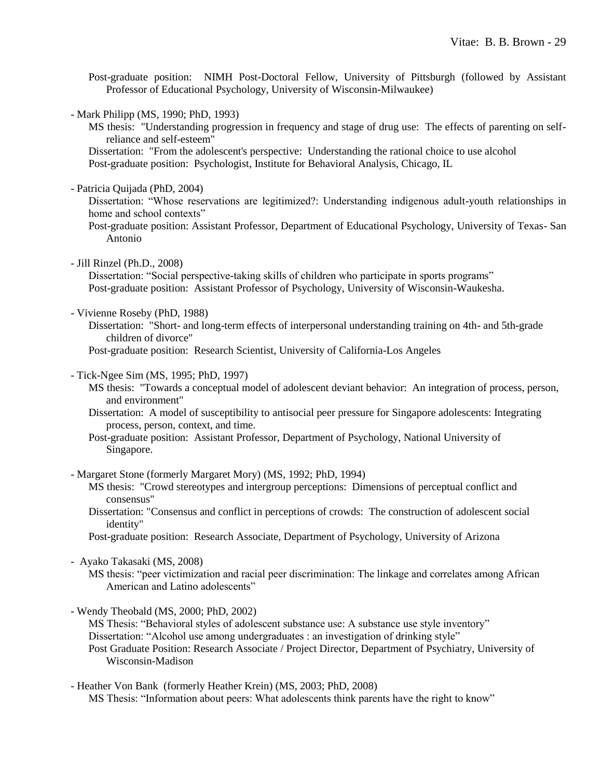Post-graduate position: NIMH Post-Doctoral Fellow, University of Pittsburgh (followed by Assistant Professor of Educational Psychology, University of Wisconsin-Milwaukee)

- Mark Philipp (MS, 1990; PhD, 1993)

MS thesis: "Understanding progression in frequency and stage of drug use: The effects of parenting on selfreliance and self-esteem"

Dissertation: "From the adolescent's perspective: Understanding the rational choice to use alcohol Post-graduate position: Psychologist, Institute for Behavioral Analysis, Chicago, IL

- Patricia Quijada (PhD, 2004)

Dissertation: "Whose reservations are legitimized?: Understanding indigenous adult-youth relationships in home and school contexts"

Post-graduate position: Assistant Professor, Department of Educational Psychology, University of Texas- San Antonio

- Jill Rinzel (Ph.D., 2008)

Dissertation: "Social perspective-taking skills of children who participate in sports programs" Post-graduate position: Assistant Professor of Psychology, University of Wisconsin-Waukesha.

- Vivienne Roseby (PhD, 1988)

Dissertation: "Short- and long-term effects of interpersonal understanding training on 4th- and 5th-grade children of divorce"

Post-graduate position: Research Scientist, University of California-Los Angeles

- Tick-Ngee Sim (MS, 1995; PhD, 1997)
	- MS thesis: "Towards a conceptual model of adolescent deviant behavior: An integration of process, person, and environment"

Dissertation: A model of susceptibility to antisocial peer pressure for Singapore adolescents: Integrating process, person, context, and time.

Post-graduate position: Assistant Professor, Department of Psychology, National University of Singapore.

- Margaret Stone (formerly Margaret Mory) (MS, 1992; PhD, 1994)

- MS thesis: "Crowd stereotypes and intergroup perceptions: Dimensions of perceptual conflict and consensus"
- Dissertation: "Consensus and conflict in perceptions of crowds: The construction of adolescent social identity"

Post-graduate position: Research Associate, Department of Psychology, University of Arizona

#### - Ayako Takasaki (MS, 2008)

MS thesis: "peer victimization and racial peer discrimination: The linkage and correlates among African American and Latino adolescents"

- Wendy Theobald (MS, 2000; PhD, 2002)

MS Thesis: "Behavioral styles of adolescent substance use: A substance use style inventory" Dissertation: "Alcohol use among undergraduates : an investigation of drinking style" Post Graduate Position: Research Associate / Project Director, Department of Psychiatry, University of Wisconsin-Madison

- Heather Von Bank (formerly Heather Krein) (MS, 2003; PhD, 2008) MS Thesis: "Information about peers: What adolescents think parents have the right to know"